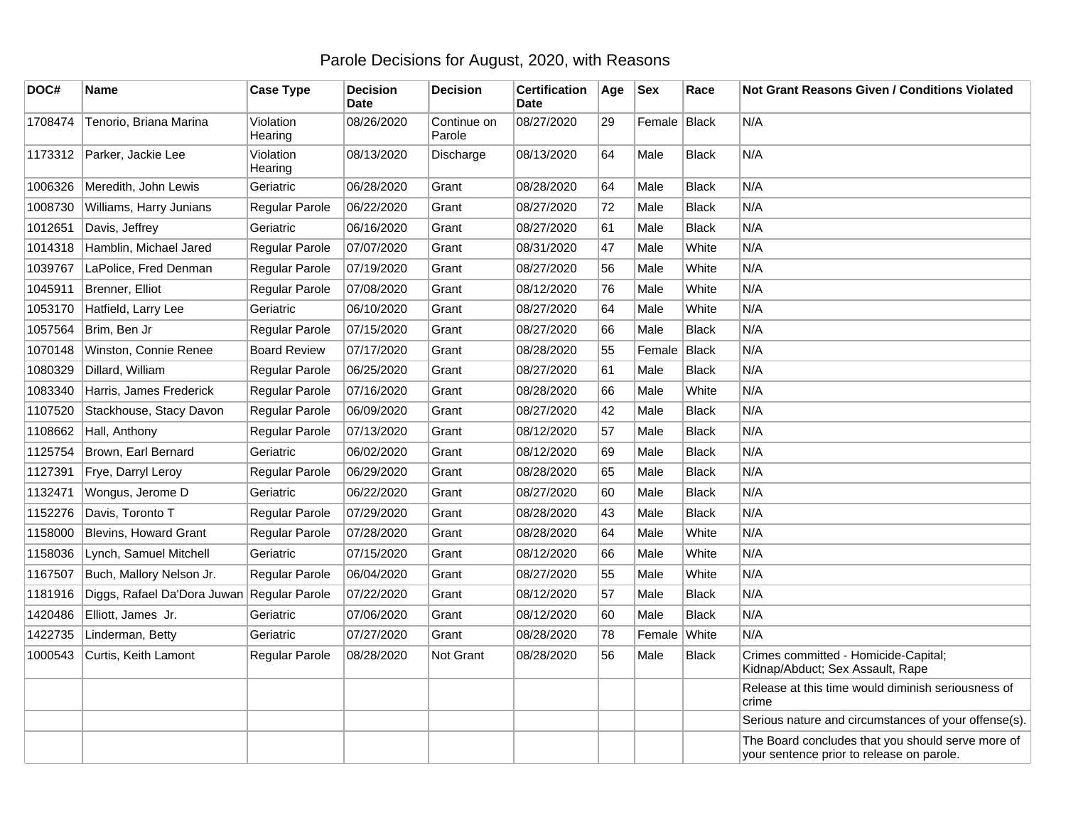## Parole Decisions for August, 2020, with Reasons

| DOC#    | <b>Name</b>                  | <b>Case Type</b>      | <b>Decision</b><br><b>Date</b> | <b>Decision</b>       | <b>Certification</b><br><b>Date</b> | Age | <b>Sex</b>   | Race         | <b>Not Grant Reasons Given / Conditions Violated</b>                                           |
|---------|------------------------------|-----------------------|--------------------------------|-----------------------|-------------------------------------|-----|--------------|--------------|------------------------------------------------------------------------------------------------|
| 1708474 | Tenorio, Briana Marina       | Violation<br>Hearing  | 08/26/2020                     | Continue on<br>Parole | 08/27/2020                          | 29  | Female Black |              | N/A                                                                                            |
| 1173312 | Parker, Jackie Lee           | Violation<br>Hearing  | 08/13/2020                     | Discharge             | 08/13/2020                          | 64  | Male         | <b>Black</b> | N/A                                                                                            |
| 1006326 | Meredith, John Lewis         | Geriatric             | 06/28/2020                     | Grant                 | 08/28/2020                          | 64  | Male         | <b>Black</b> | N/A                                                                                            |
| 1008730 | Williams, Harry Junians      | Regular Parole        | 06/22/2020                     | Grant                 | 08/27/2020                          | 72  | Male         | Black        | N/A                                                                                            |
| 1012651 | Davis, Jeffrey               | Geriatric             | 06/16/2020                     | Grant                 | 08/27/2020                          | 61  | Male         | <b>Black</b> | N/A                                                                                            |
| 1014318 | Hamblin, Michael Jared       | Regular Parole        | 07/07/2020                     | Grant                 | 08/31/2020                          | 47  | Male         | White        | N/A                                                                                            |
| 1039767 | LaPolice, Fred Denman        | Regular Parole        | 07/19/2020                     | Grant                 | 08/27/2020                          | 56  | Male         | White        | N/A                                                                                            |
| 1045911 | Brenner, Elliot              | Regular Parole        | 07/08/2020                     | Grant                 | 08/12/2020                          | 76  | Male         | White        | N/A                                                                                            |
| 1053170 | Hatfield, Larry Lee          | Geriatric             | 06/10/2020                     | Grant                 | 08/27/2020                          | 64  | Male         | White        | N/A                                                                                            |
| 1057564 | Brim, Ben Jr                 | Regular Parole        | 07/15/2020                     | Grant                 | 08/27/2020                          | 66  | Male         | <b>Black</b> | N/A                                                                                            |
| 1070148 | Winston, Connie Renee        | <b>Board Review</b>   | 07/17/2020                     | Grant                 | 08/28/2020                          | 55  | Female Black |              | N/A                                                                                            |
| 1080329 | Dillard, William             | Regular Parole        | 06/25/2020                     | Grant                 | 08/27/2020                          | 61  | Male         | <b>Black</b> | N/A                                                                                            |
| 1083340 | Harris, James Frederick      | Regular Parole        | 07/16/2020                     | Grant                 | 08/28/2020                          | 66  | Male         | White        | N/A                                                                                            |
| 1107520 | Stackhouse, Stacy Davon      | Regular Parole        | 06/09/2020                     | Grant                 | 08/27/2020                          | 42  | Male         | <b>Black</b> | N/A                                                                                            |
| 1108662 | Hall, Anthony                | Regular Parole        | 07/13/2020                     | Grant                 | 08/12/2020                          | 57  | Male         | <b>Black</b> | N/A                                                                                            |
| 1125754 | Brown, Earl Bernard          | Geriatric             | 06/02/2020                     | Grant                 | 08/12/2020                          | 69  | Male         | <b>Black</b> | N/A                                                                                            |
| 1127391 | Frye, Darryl Leroy           | <b>Regular Parole</b> | 06/29/2020                     | Grant                 | 08/28/2020                          | 65  | Male         | <b>Black</b> | N/A                                                                                            |
| 1132471 | Wongus, Jerome D             | Geriatric             | 06/22/2020                     | Grant                 | 08/27/2020                          | 60  | Male         | <b>Black</b> | N/A                                                                                            |
| 1152276 | Davis, Toronto T             | Regular Parole        | 07/29/2020                     | Grant                 | 08/28/2020                          | 43  | Male         | <b>Black</b> | N/A                                                                                            |
| 1158000 | <b>Blevins, Howard Grant</b> | Regular Parole        | 07/28/2020                     | Grant                 | 08/28/2020                          | 64  | Male         | White        | N/A                                                                                            |
| 1158036 | Lynch, Samuel Mitchell       | Geriatric             | 07/15/2020                     | Grant                 | 08/12/2020                          | 66  | Male         | White        | N/A                                                                                            |
| 1167507 | Buch, Mallory Nelson Jr.     | Regular Parole        | 06/04/2020                     | Grant                 | 08/27/2020                          | 55  | Male         | White        | N/A                                                                                            |
| 1181916 | Diggs, Rafael Da'Dora Juwan  | Regular Parole        | 07/22/2020                     | Grant                 | 08/12/2020                          | 57  | Male         | <b>Black</b> | N/A                                                                                            |
| 1420486 | Elliott, James Jr.           | Geriatric             | 07/06/2020                     | Grant                 | 08/12/2020                          | 60  | Male         | <b>Black</b> | N/A                                                                                            |
| 1422735 | Linderman, Betty             | Geriatric             | 07/27/2020                     | Grant                 | 08/28/2020                          | 78  | Female       | <b>White</b> | N/A                                                                                            |
| 1000543 | Curtis, Keith Lamont         | Regular Parole        | 08/28/2020                     | Not Grant             | 08/28/2020                          | 56  | Male         | <b>Black</b> | Crimes committed - Homicide-Capital;<br>Kidnap/Abduct; Sex Assault, Rape                       |
|         |                              |                       |                                |                       |                                     |     |              |              | Release at this time would diminish seriousness of<br>crime                                    |
|         |                              |                       |                                |                       |                                     |     |              |              | Serious nature and circumstances of your offense(s).                                           |
|         |                              |                       |                                |                       |                                     |     |              |              | The Board concludes that you should serve more of<br>your sentence prior to release on parole. |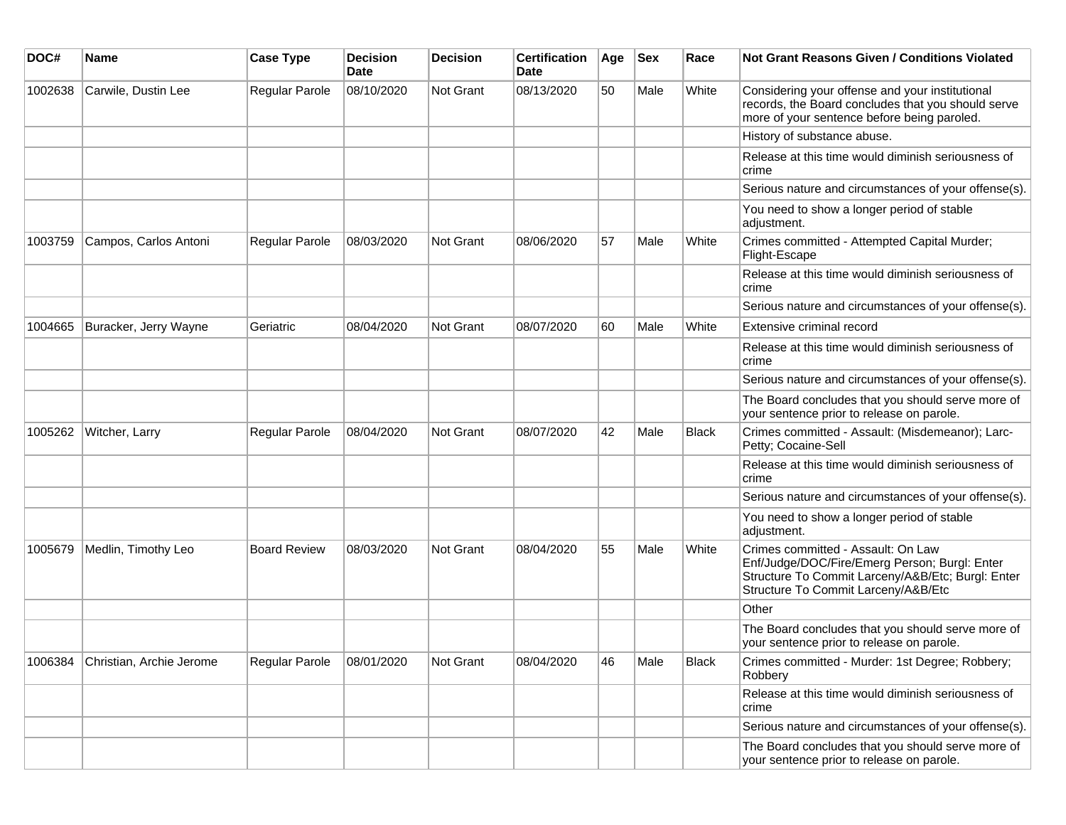| DOC#    | <b>Name</b>              | <b>Case Type</b>    | <b>Decision</b><br>Date | <b>Decision</b> | <b>Certification</b><br>Date | Age | <b>Sex</b> | Race         | <b>Not Grant Reasons Given / Conditions Violated</b>                                                                                                                            |
|---------|--------------------------|---------------------|-------------------------|-----------------|------------------------------|-----|------------|--------------|---------------------------------------------------------------------------------------------------------------------------------------------------------------------------------|
| 1002638 | Carwile, Dustin Lee      | Regular Parole      | 08/10/2020              | Not Grant       | 08/13/2020                   | 50  | Male       | White        | Considering your offense and your institutional<br>records, the Board concludes that you should serve<br>more of your sentence before being paroled.                            |
|         |                          |                     |                         |                 |                              |     |            |              | History of substance abuse.                                                                                                                                                     |
|         |                          |                     |                         |                 |                              |     |            |              | Release at this time would diminish seriousness of<br>crime                                                                                                                     |
|         |                          |                     |                         |                 |                              |     |            |              | Serious nature and circumstances of your offense(s).                                                                                                                            |
|         |                          |                     |                         |                 |                              |     |            |              | You need to show a longer period of stable<br>adjustment.                                                                                                                       |
| 1003759 | Campos, Carlos Antoni    | Regular Parole      | 08/03/2020              | Not Grant       | 08/06/2020                   | 57  | Male       | White        | Crimes committed - Attempted Capital Murder;<br>Flight-Escape                                                                                                                   |
|         |                          |                     |                         |                 |                              |     |            |              | Release at this time would diminish seriousness of<br>crime                                                                                                                     |
|         |                          |                     |                         |                 |                              |     |            |              | Serious nature and circumstances of your offense(s).                                                                                                                            |
| 1004665 | Buracker, Jerry Wayne    | Geriatric           | 08/04/2020              | Not Grant       | 08/07/2020                   | 60  | Male       | White        | Extensive criminal record                                                                                                                                                       |
|         |                          |                     |                         |                 |                              |     |            |              | Release at this time would diminish seriousness of<br>crime                                                                                                                     |
|         |                          |                     |                         |                 |                              |     |            |              | Serious nature and circumstances of your offense(s).                                                                                                                            |
|         |                          |                     |                         |                 |                              |     |            |              | The Board concludes that you should serve more of<br>your sentence prior to release on parole.                                                                                  |
| 1005262 | Witcher, Larry           | Regular Parole      | 08/04/2020              | Not Grant       | 08/07/2020                   | 42  | Male       | <b>Black</b> | Crimes committed - Assault: (Misdemeanor); Larc-<br>Petty; Cocaine-Sell                                                                                                         |
|         |                          |                     |                         |                 |                              |     |            |              | Release at this time would diminish seriousness of<br>crime                                                                                                                     |
|         |                          |                     |                         |                 |                              |     |            |              | Serious nature and circumstances of your offense(s).                                                                                                                            |
|         |                          |                     |                         |                 |                              |     |            |              | You need to show a longer period of stable<br>adjustment.                                                                                                                       |
| 1005679 | Medlin, Timothy Leo      | <b>Board Review</b> | 08/03/2020              | Not Grant       | 08/04/2020                   | 55  | Male       | White        | Crimes committed - Assault: On Law<br>Enf/Judge/DOC/Fire/Emerg Person; Burgl: Enter<br>Structure To Commit Larceny/A&B/Etc; Burgl: Enter<br>Structure To Commit Larceny/A&B/Etc |
|         |                          |                     |                         |                 |                              |     |            |              | Other                                                                                                                                                                           |
|         |                          |                     |                         |                 |                              |     |            |              | The Board concludes that you should serve more of<br>your sentence prior to release on parole.                                                                                  |
| 1006384 | Christian, Archie Jerome | Regular Parole      | 08/01/2020              | Not Grant       | 08/04/2020                   | 46  | Male       | Black        | Crimes committed - Murder: 1st Degree; Robbery;<br>Robbery                                                                                                                      |
|         |                          |                     |                         |                 |                              |     |            |              | Release at this time would diminish seriousness of<br>crime                                                                                                                     |
|         |                          |                     |                         |                 |                              |     |            |              | Serious nature and circumstances of your offense(s).                                                                                                                            |
|         |                          |                     |                         |                 |                              |     |            |              | The Board concludes that you should serve more of<br>your sentence prior to release on parole.                                                                                  |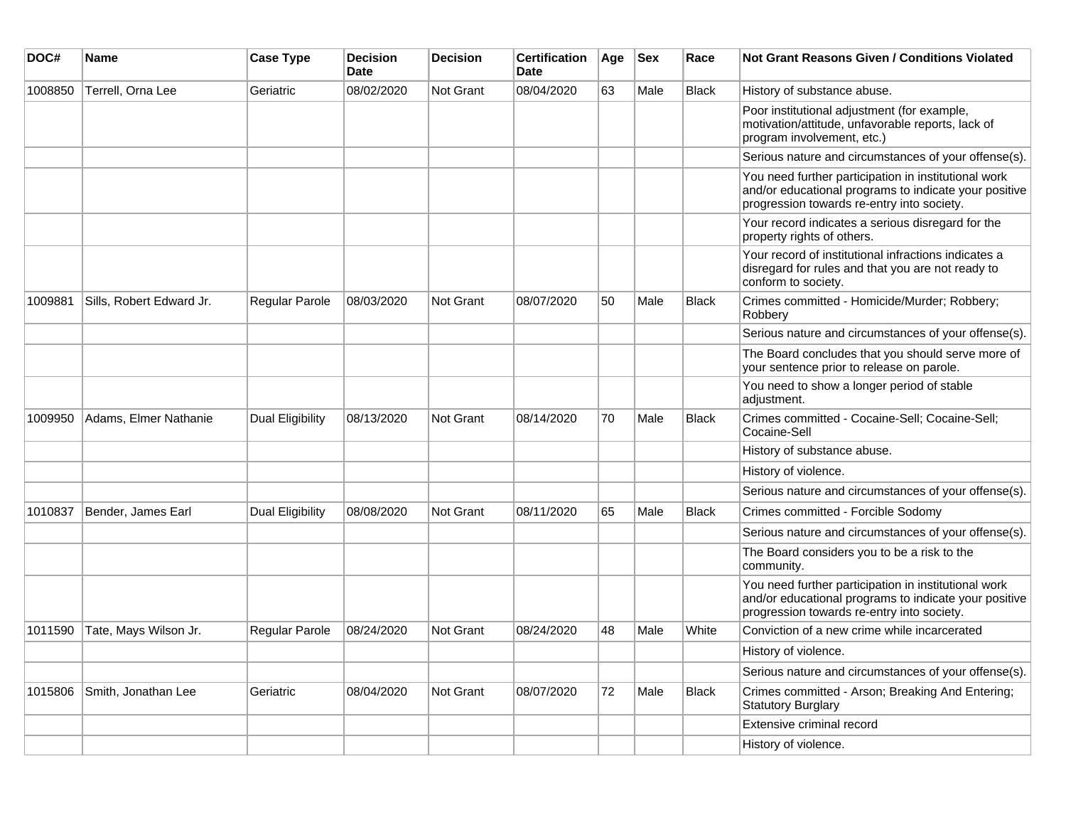| DOC#    | <b>Name</b>              | <b>Case Type</b>      | <b>Decision</b><br><b>Date</b> | <b>Decision</b>  | <b>Certification</b><br>Date | Age | <b>Sex</b> | Race         | Not Grant Reasons Given / Conditions Violated                                                                                                               |
|---------|--------------------------|-----------------------|--------------------------------|------------------|------------------------------|-----|------------|--------------|-------------------------------------------------------------------------------------------------------------------------------------------------------------|
| 1008850 | Terrell, Orna Lee        | Geriatric             | 08/02/2020                     | Not Grant        | 08/04/2020                   | 63  | Male       | <b>Black</b> | History of substance abuse.                                                                                                                                 |
|         |                          |                       |                                |                  |                              |     |            |              | Poor institutional adjustment (for example,<br>motivation/attitude, unfavorable reports, lack of<br>program involvement, etc.)                              |
|         |                          |                       |                                |                  |                              |     |            |              | Serious nature and circumstances of your offense(s).                                                                                                        |
|         |                          |                       |                                |                  |                              |     |            |              | You need further participation in institutional work<br>and/or educational programs to indicate your positive<br>progression towards re-entry into society. |
|         |                          |                       |                                |                  |                              |     |            |              | Your record indicates a serious disregard for the<br>property rights of others.                                                                             |
|         |                          |                       |                                |                  |                              |     |            |              | Your record of institutional infractions indicates a<br>disregard for rules and that you are not ready to<br>conform to society.                            |
| 1009881 | Sills, Robert Edward Jr. | Regular Parole        | 08/03/2020                     | Not Grant        | 08/07/2020                   | 50  | Male       | <b>Black</b> | Crimes committed - Homicide/Murder; Robbery;<br>Robbery                                                                                                     |
|         |                          |                       |                                |                  |                              |     |            |              | Serious nature and circumstances of your offense(s).                                                                                                        |
|         |                          |                       |                                |                  |                              |     |            |              | The Board concludes that you should serve more of<br>your sentence prior to release on parole.                                                              |
|         |                          |                       |                                |                  |                              |     |            |              | You need to show a longer period of stable<br>adjustment.                                                                                                   |
| 1009950 | Adams, Elmer Nathanie    | Dual Eligibility      | 08/13/2020                     | <b>Not Grant</b> | 08/14/2020                   | 70  | Male       | <b>Black</b> | Crimes committed - Cocaine-Sell; Cocaine-Sell;<br>Cocaine-Sell                                                                                              |
|         |                          |                       |                                |                  |                              |     |            |              | History of substance abuse.                                                                                                                                 |
|         |                          |                       |                                |                  |                              |     |            |              | History of violence.                                                                                                                                        |
|         |                          |                       |                                |                  |                              |     |            |              | Serious nature and circumstances of your offense(s).                                                                                                        |
| 1010837 | Bender, James Earl       | Dual Eligibility      | 08/08/2020                     | Not Grant        | 08/11/2020                   | 65  | Male       | <b>Black</b> | Crimes committed - Forcible Sodomy                                                                                                                          |
|         |                          |                       |                                |                  |                              |     |            |              | Serious nature and circumstances of your offense(s).                                                                                                        |
|         |                          |                       |                                |                  |                              |     |            |              | The Board considers you to be a risk to the<br>community.                                                                                                   |
|         |                          |                       |                                |                  |                              |     |            |              | You need further participation in institutional work<br>and/or educational programs to indicate your positive<br>progression towards re-entry into society. |
| 1011590 | Tate, Mays Wilson Jr.    | <b>Regular Parole</b> | 08/24/2020                     | Not Grant        | 08/24/2020                   | 48  | Male       | White        | Conviction of a new crime while incarcerated                                                                                                                |
|         |                          |                       |                                |                  |                              |     |            |              | History of violence.                                                                                                                                        |
|         |                          |                       |                                |                  |                              |     |            |              | Serious nature and circumstances of your offense(s).                                                                                                        |
| 1015806 | Smith, Jonathan Lee      | Geriatric             | 08/04/2020                     | Not Grant        | 08/07/2020                   | 72  | Male       | Black        | Crimes committed - Arson; Breaking And Entering;<br><b>Statutory Burglary</b>                                                                               |
|         |                          |                       |                                |                  |                              |     |            |              | Extensive criminal record                                                                                                                                   |
|         |                          |                       |                                |                  |                              |     |            |              | History of violence.                                                                                                                                        |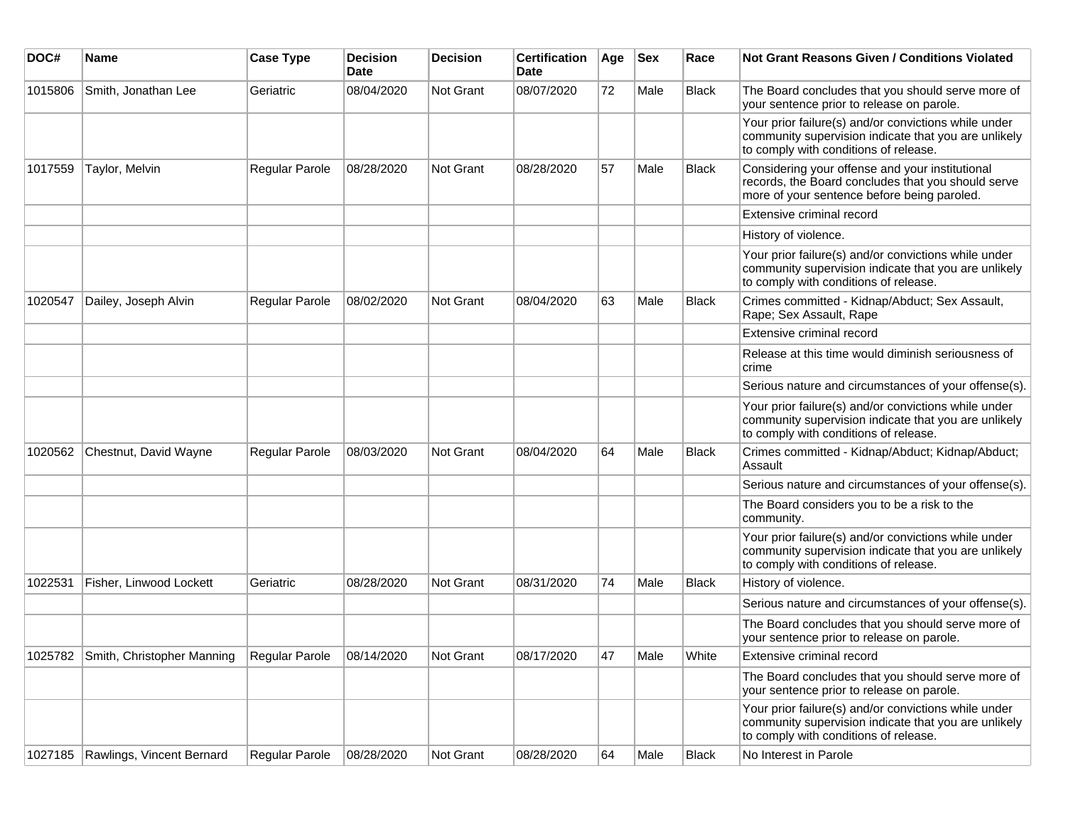| DOC#    | <b>Name</b>                        | <b>Case Type</b> | Decision<br><b>Date</b> | <b>Decision</b>  | <b>Certification</b><br>Date | Age | <b>Sex</b> | Race         | <b>Not Grant Reasons Given / Conditions Violated</b>                                                                                                  |
|---------|------------------------------------|------------------|-------------------------|------------------|------------------------------|-----|------------|--------------|-------------------------------------------------------------------------------------------------------------------------------------------------------|
| 1015806 | Smith, Jonathan Lee                | Geriatric        | 08/04/2020              | Not Grant        | 08/07/2020                   | 72  | Male       | Black        | The Board concludes that you should serve more of<br>your sentence prior to release on parole.                                                        |
|         |                                    |                  |                         |                  |                              |     |            |              | Your prior failure(s) and/or convictions while under<br>community supervision indicate that you are unlikely<br>to comply with conditions of release. |
| 1017559 | Taylor, Melvin                     | Regular Parole   | 08/28/2020              | Not Grant        | 08/28/2020                   | 57  | Male       | Black        | Considering your offense and your institutional<br>records, the Board concludes that you should serve<br>more of your sentence before being paroled.  |
|         |                                    |                  |                         |                  |                              |     |            |              | Extensive criminal record                                                                                                                             |
|         |                                    |                  |                         |                  |                              |     |            |              | History of violence.                                                                                                                                  |
|         |                                    |                  |                         |                  |                              |     |            |              | Your prior failure(s) and/or convictions while under<br>community supervision indicate that you are unlikely<br>to comply with conditions of release. |
| 1020547 | Dailey, Joseph Alvin               | Regular Parole   | 08/02/2020              | Not Grant        | 08/04/2020                   | 63  | Male       | Black        | Crimes committed - Kidnap/Abduct; Sex Assault,<br>Rape; Sex Assault, Rape                                                                             |
|         |                                    |                  |                         |                  |                              |     |            |              | Extensive criminal record                                                                                                                             |
|         |                                    |                  |                         |                  |                              |     |            |              | Release at this time would diminish seriousness of<br>crime                                                                                           |
|         |                                    |                  |                         |                  |                              |     |            |              | Serious nature and circumstances of your offense(s).                                                                                                  |
|         |                                    |                  |                         |                  |                              |     |            |              | Your prior failure(s) and/or convictions while under<br>community supervision indicate that you are unlikely<br>to comply with conditions of release. |
| 1020562 | Chestnut, David Wayne              | Regular Parole   | 08/03/2020              | Not Grant        | 08/04/2020                   | 64  | Male       | <b>Black</b> | Crimes committed - Kidnap/Abduct; Kidnap/Abduct;<br>Assault                                                                                           |
|         |                                    |                  |                         |                  |                              |     |            |              | Serious nature and circumstances of your offense(s).                                                                                                  |
|         |                                    |                  |                         |                  |                              |     |            |              | The Board considers you to be a risk to the<br>community.                                                                                             |
|         |                                    |                  |                         |                  |                              |     |            |              | Your prior failure(s) and/or convictions while under<br>community supervision indicate that you are unlikely<br>to comply with conditions of release. |
| 1022531 | Fisher, Linwood Lockett            | Geriatric        | 08/28/2020              | <b>Not Grant</b> | 08/31/2020                   | 74  | Male       | <b>Black</b> | History of violence.                                                                                                                                  |
|         |                                    |                  |                         |                  |                              |     |            |              | Serious nature and circumstances of your offense(s).                                                                                                  |
|         |                                    |                  |                         |                  |                              |     |            |              | The Board concludes that you should serve more of<br>your sentence prior to release on parole.                                                        |
|         | 1025782 Smith, Christopher Manning | Regular Parole   | 08/14/2020              | Not Grant        | 08/17/2020                   | 47  | Male       | White        | Extensive criminal record                                                                                                                             |
|         |                                    |                  |                         |                  |                              |     |            |              | The Board concludes that you should serve more of<br>your sentence prior to release on parole.                                                        |
|         |                                    |                  |                         |                  |                              |     |            |              | Your prior failure(s) and/or convictions while under<br>community supervision indicate that you are unlikely<br>to comply with conditions of release. |
| 1027185 | Rawlings, Vincent Bernard          | Regular Parole   | 08/28/2020              | Not Grant        | 08/28/2020                   | 64  | Male       | <b>Black</b> | No Interest in Parole                                                                                                                                 |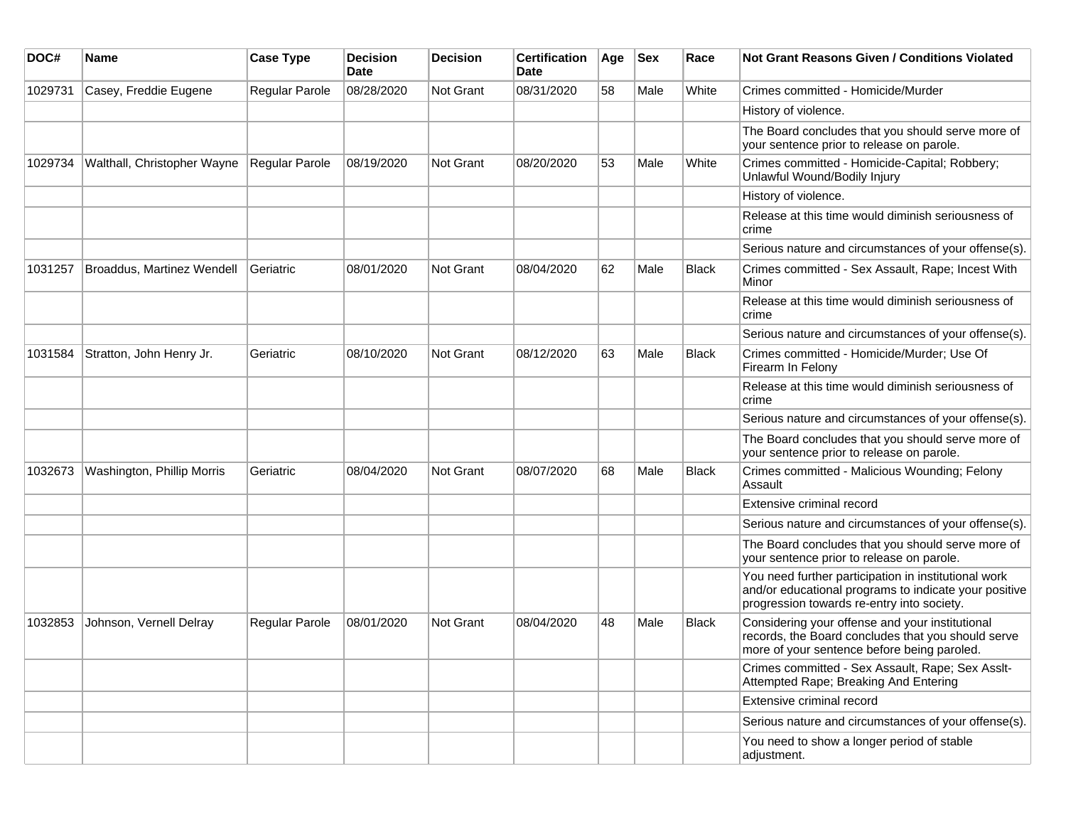| DOC#    | <b>Name</b>                 | <b>Case Type</b>      | <b>Decision</b><br>Date | <b>Decision</b>  | <b>Certification</b><br>Date | Age | <b>Sex</b> | Race         | Not Grant Reasons Given / Conditions Violated                                                                                                               |
|---------|-----------------------------|-----------------------|-------------------------|------------------|------------------------------|-----|------------|--------------|-------------------------------------------------------------------------------------------------------------------------------------------------------------|
| 1029731 | Casey, Freddie Eugene       | Regular Parole        | 08/28/2020              | Not Grant        | 08/31/2020                   | 58  | Male       | White        | Crimes committed - Homicide/Murder                                                                                                                          |
|         |                             |                       |                         |                  |                              |     |            |              | History of violence.                                                                                                                                        |
|         |                             |                       |                         |                  |                              |     |            |              | The Board concludes that you should serve more of<br>your sentence prior to release on parole.                                                              |
| 1029734 | Walthall, Christopher Wayne | <b>Regular Parole</b> | 08/19/2020              | <b>Not Grant</b> | 08/20/2020                   | 53  | Male       | White        | Crimes committed - Homicide-Capital; Robbery;<br>Unlawful Wound/Bodily Injury                                                                               |
|         |                             |                       |                         |                  |                              |     |            |              | History of violence.                                                                                                                                        |
|         |                             |                       |                         |                  |                              |     |            |              | Release at this time would diminish seriousness of<br>crime                                                                                                 |
|         |                             |                       |                         |                  |                              |     |            |              | Serious nature and circumstances of your offense(s).                                                                                                        |
| 1031257 | Broaddus, Martinez Wendell  | Geriatric             | 08/01/2020              | Not Grant        | 08/04/2020                   | 62  | Male       | <b>Black</b> | Crimes committed - Sex Assault, Rape; Incest With<br>Minor                                                                                                  |
|         |                             |                       |                         |                  |                              |     |            |              | Release at this time would diminish seriousness of<br>crime                                                                                                 |
|         |                             |                       |                         |                  |                              |     |            |              | Serious nature and circumstances of your offense(s).                                                                                                        |
| 1031584 | Stratton, John Henry Jr.    | Geriatric             | 08/10/2020              | Not Grant        | 08/12/2020                   | 63  | Male       | <b>Black</b> | Crimes committed - Homicide/Murder; Use Of<br>Firearm In Felony                                                                                             |
|         |                             |                       |                         |                  |                              |     |            |              | Release at this time would diminish seriousness of<br>crime                                                                                                 |
|         |                             |                       |                         |                  |                              |     |            |              | Serious nature and circumstances of your offense(s).                                                                                                        |
|         |                             |                       |                         |                  |                              |     |            |              | The Board concludes that you should serve more of<br>your sentence prior to release on parole.                                                              |
| 1032673 | Washington, Phillip Morris  | Geriatric             | 08/04/2020              | Not Grant        | 08/07/2020                   | 68  | Male       | <b>Black</b> | Crimes committed - Malicious Wounding; Felony<br>Assault                                                                                                    |
|         |                             |                       |                         |                  |                              |     |            |              | Extensive criminal record                                                                                                                                   |
|         |                             |                       |                         |                  |                              |     |            |              | Serious nature and circumstances of your offense(s).                                                                                                        |
|         |                             |                       |                         |                  |                              |     |            |              | The Board concludes that you should serve more of<br>your sentence prior to release on parole.                                                              |
|         |                             |                       |                         |                  |                              |     |            |              | You need further participation in institutional work<br>and/or educational programs to indicate your positive<br>progression towards re-entry into society. |
| 1032853 | Johnson, Vernell Delray     | <b>Regular Parole</b> | 08/01/2020              | Not Grant        | 08/04/2020                   | 48  | Male       | <b>Black</b> | Considering your offense and your institutional<br>records, the Board concludes that you should serve<br>more of your sentence before being paroled.        |
|         |                             |                       |                         |                  |                              |     |            |              | Crimes committed - Sex Assault, Rape; Sex Asslt-<br>Attempted Rape; Breaking And Entering                                                                   |
|         |                             |                       |                         |                  |                              |     |            |              | Extensive criminal record                                                                                                                                   |
|         |                             |                       |                         |                  |                              |     |            |              | Serious nature and circumstances of your offense(s).                                                                                                        |
|         |                             |                       |                         |                  |                              |     |            |              | You need to show a longer period of stable<br>adjustment.                                                                                                   |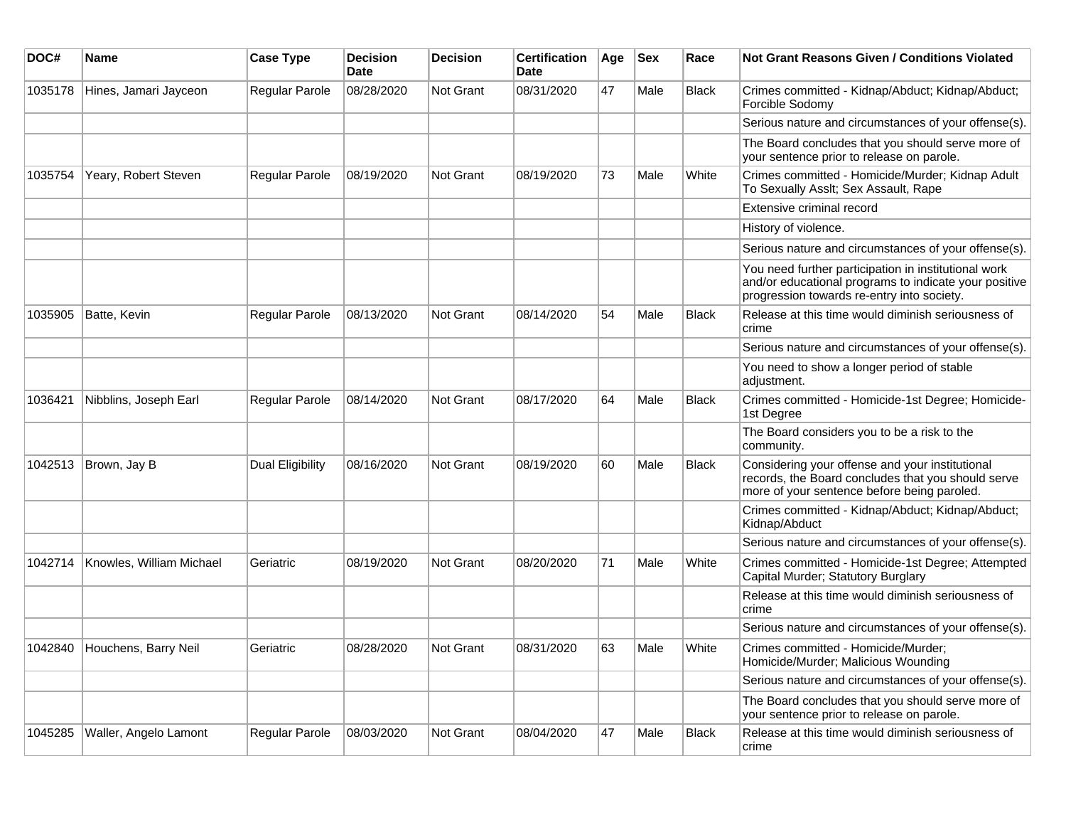| DOC#    | <b>Name</b>              | <b>Case Type</b>      | <b>Decision</b><br><b>Date</b> | <b>Decision</b> | <b>Certification</b><br>Date | Age | <b>Sex</b> | Race         | <b>Not Grant Reasons Given / Conditions Violated</b>                                                                                                        |
|---------|--------------------------|-----------------------|--------------------------------|-----------------|------------------------------|-----|------------|--------------|-------------------------------------------------------------------------------------------------------------------------------------------------------------|
| 1035178 | Hines, Jamari Jayceon    | Regular Parole        | 08/28/2020                     | Not Grant       | 08/31/2020                   | 47  | Male       | <b>Black</b> | Crimes committed - Kidnap/Abduct; Kidnap/Abduct;<br>Forcible Sodomy                                                                                         |
|         |                          |                       |                                |                 |                              |     |            |              | Serious nature and circumstances of your offense(s).                                                                                                        |
|         |                          |                       |                                |                 |                              |     |            |              | The Board concludes that you should serve more of<br>your sentence prior to release on parole.                                                              |
| 1035754 | Yeary, Robert Steven     | <b>Regular Parole</b> | 08/19/2020                     | Not Grant       | 08/19/2020                   | 73  | Male       | White        | Crimes committed - Homicide/Murder; Kidnap Adult<br>To Sexually Asslt; Sex Assault, Rape                                                                    |
|         |                          |                       |                                |                 |                              |     |            |              | Extensive criminal record                                                                                                                                   |
|         |                          |                       |                                |                 |                              |     |            |              | History of violence.                                                                                                                                        |
|         |                          |                       |                                |                 |                              |     |            |              | Serious nature and circumstances of your offense(s).                                                                                                        |
|         |                          |                       |                                |                 |                              |     |            |              | You need further participation in institutional work<br>and/or educational programs to indicate your positive<br>progression towards re-entry into society. |
| 1035905 | Batte, Kevin             | Regular Parole        | 08/13/2020                     | Not Grant       | 08/14/2020                   | 54  | Male       | <b>Black</b> | Release at this time would diminish seriousness of<br>crime                                                                                                 |
|         |                          |                       |                                |                 |                              |     |            |              | Serious nature and circumstances of your offense(s).                                                                                                        |
|         |                          |                       |                                |                 |                              |     |            |              | You need to show a longer period of stable<br>adjustment.                                                                                                   |
| 1036421 | Nibblins, Joseph Earl    | <b>Regular Parole</b> | 08/14/2020                     | Not Grant       | 08/17/2020                   | 64  | Male       | <b>Black</b> | Crimes committed - Homicide-1st Degree; Homicide-<br>1st Degree                                                                                             |
|         |                          |                       |                                |                 |                              |     |            |              | The Board considers you to be a risk to the<br>community.                                                                                                   |
| 1042513 | Brown, Jay B             | Dual Eligibility      | 08/16/2020                     | Not Grant       | 08/19/2020                   | 60  | Male       | <b>Black</b> | Considering your offense and your institutional<br>records, the Board concludes that you should serve<br>more of your sentence before being paroled.        |
|         |                          |                       |                                |                 |                              |     |            |              | Crimes committed - Kidnap/Abduct; Kidnap/Abduct;<br>Kidnap/Abduct                                                                                           |
|         |                          |                       |                                |                 |                              |     |            |              | Serious nature and circumstances of your offense(s).                                                                                                        |
| 1042714 | Knowles, William Michael | Geriatric             | 08/19/2020                     | Not Grant       | 08/20/2020                   | 71  | Male       | White        | Crimes committed - Homicide-1st Degree; Attempted<br>Capital Murder; Statutory Burglary                                                                     |
|         |                          |                       |                                |                 |                              |     |            |              | Release at this time would diminish seriousness of<br>crime                                                                                                 |
|         |                          |                       |                                |                 |                              |     |            |              | Serious nature and circumstances of your offense(s).                                                                                                        |
| 1042840 | Houchens, Barry Neil     | Geriatric             | 08/28/2020                     | Not Grant       | 08/31/2020                   | 63  | Male       | White        | Crimes committed - Homicide/Murder;<br>Homicide/Murder; Malicious Wounding                                                                                  |
|         |                          |                       |                                |                 |                              |     |            |              | Serious nature and circumstances of your offense(s).                                                                                                        |
|         |                          |                       |                                |                 |                              |     |            |              | The Board concludes that you should serve more of<br>your sentence prior to release on parole.                                                              |
| 1045285 | Waller, Angelo Lamont    | Regular Parole        | 08/03/2020                     | Not Grant       | 08/04/2020                   | 47  | Male       | <b>Black</b> | Release at this time would diminish seriousness of<br>crime                                                                                                 |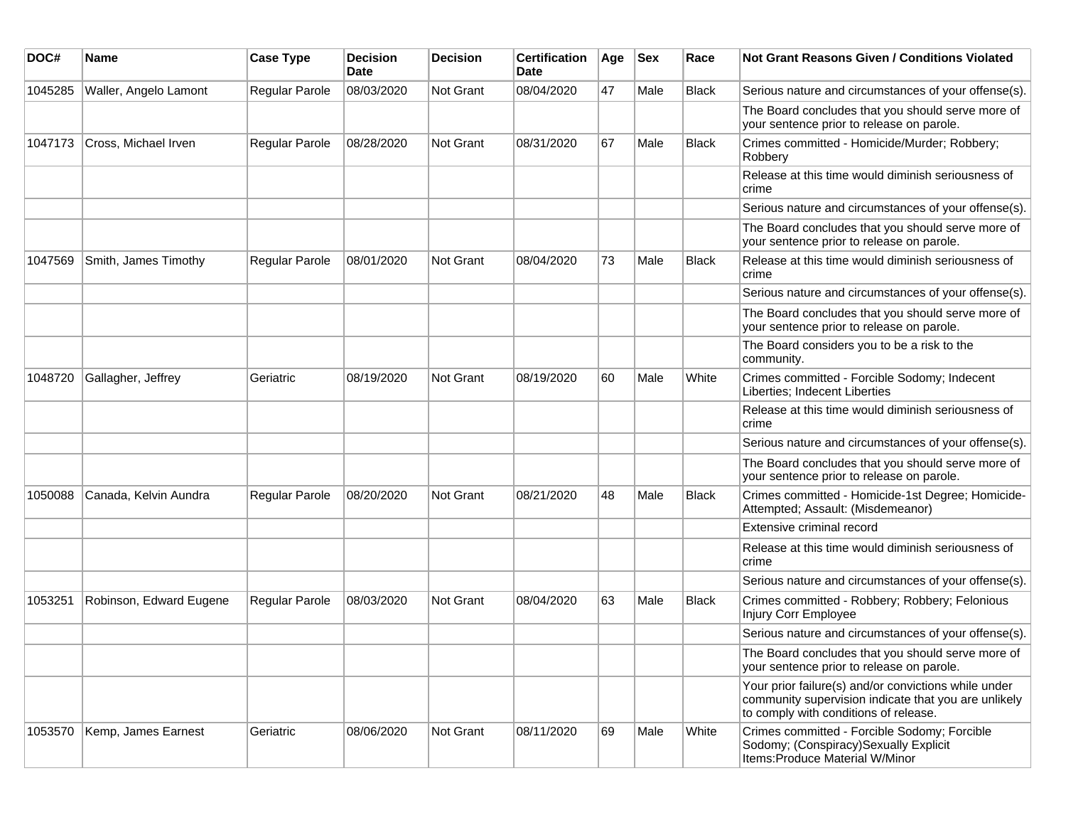| DOC#    | Name                    | <b>Case Type</b>      | <b>Decision</b><br>Date | <b>Decision</b> | <b>Certification</b><br><b>Date</b> | Age | Sex  | Race         | Not Grant Reasons Given / Conditions Violated                                                                                                         |
|---------|-------------------------|-----------------------|-------------------------|-----------------|-------------------------------------|-----|------|--------------|-------------------------------------------------------------------------------------------------------------------------------------------------------|
| 1045285 | Waller, Angelo Lamont   | Regular Parole        | 08/03/2020              | Not Grant       | 08/04/2020                          | 47  | Male | <b>Black</b> | Serious nature and circumstances of your offense(s).                                                                                                  |
|         |                         |                       |                         |                 |                                     |     |      |              | The Board concludes that you should serve more of<br>your sentence prior to release on parole.                                                        |
| 1047173 | Cross, Michael Irven    | <b>Regular Parole</b> | 08/28/2020              | Not Grant       | 08/31/2020                          | 67  | Male | <b>Black</b> | Crimes committed - Homicide/Murder; Robbery;<br>Robbery                                                                                               |
|         |                         |                       |                         |                 |                                     |     |      |              | Release at this time would diminish seriousness of<br>crime                                                                                           |
|         |                         |                       |                         |                 |                                     |     |      |              | Serious nature and circumstances of your offense(s).                                                                                                  |
|         |                         |                       |                         |                 |                                     |     |      |              | The Board concludes that you should serve more of<br>your sentence prior to release on parole.                                                        |
| 1047569 | Smith, James Timothy    | <b>Regular Parole</b> | 08/01/2020              | Not Grant       | 08/04/2020                          | 73  | Male | <b>Black</b> | Release at this time would diminish seriousness of<br>crime                                                                                           |
|         |                         |                       |                         |                 |                                     |     |      |              | Serious nature and circumstances of your offense(s).                                                                                                  |
|         |                         |                       |                         |                 |                                     |     |      |              | The Board concludes that you should serve more of<br>your sentence prior to release on parole.                                                        |
|         |                         |                       |                         |                 |                                     |     |      |              | The Board considers you to be a risk to the<br>community.                                                                                             |
| 1048720 | Gallagher, Jeffrey      | Geriatric             | 08/19/2020              | Not Grant       | 08/19/2020                          | 60  | Male | White        | Crimes committed - Forcible Sodomy; Indecent<br>Liberties; Indecent Liberties                                                                         |
|         |                         |                       |                         |                 |                                     |     |      |              | Release at this time would diminish seriousness of<br>crime                                                                                           |
|         |                         |                       |                         |                 |                                     |     |      |              | Serious nature and circumstances of your offense(s).                                                                                                  |
|         |                         |                       |                         |                 |                                     |     |      |              | The Board concludes that you should serve more of<br>your sentence prior to release on parole.                                                        |
| 1050088 | Canada, Kelvin Aundra   | <b>Regular Parole</b> | 08/20/2020              | Not Grant       | 08/21/2020                          | 48  | Male | <b>Black</b> | Crimes committed - Homicide-1st Degree; Homicide-<br>Attempted; Assault: (Misdemeanor)                                                                |
|         |                         |                       |                         |                 |                                     |     |      |              | Extensive criminal record                                                                                                                             |
|         |                         |                       |                         |                 |                                     |     |      |              | Release at this time would diminish seriousness of<br>crime                                                                                           |
|         |                         |                       |                         |                 |                                     |     |      |              | Serious nature and circumstances of your offense(s).                                                                                                  |
| 1053251 | Robinson, Edward Eugene | <b>Regular Parole</b> | 08/03/2020              | Not Grant       | 08/04/2020                          | 63  | Male | <b>Black</b> | Crimes committed - Robbery; Robbery; Felonious<br>Injury Corr Employee                                                                                |
|         |                         |                       |                         |                 |                                     |     |      |              | Serious nature and circumstances of your offense(s).                                                                                                  |
|         |                         |                       |                         |                 |                                     |     |      |              | The Board concludes that you should serve more of<br>your sentence prior to release on parole.                                                        |
|         |                         |                       |                         |                 |                                     |     |      |              | Your prior failure(s) and/or convictions while under<br>community supervision indicate that you are unlikely<br>to comply with conditions of release. |
| 1053570 | Kemp, James Earnest     | Geriatric             | 08/06/2020              | Not Grant       | 08/11/2020                          | 69  | Male | White        | Crimes committed - Forcible Sodomy; Forcible<br>Sodomy; (Conspiracy) Sexually Explicit<br>Items: Produce Material W/Minor                             |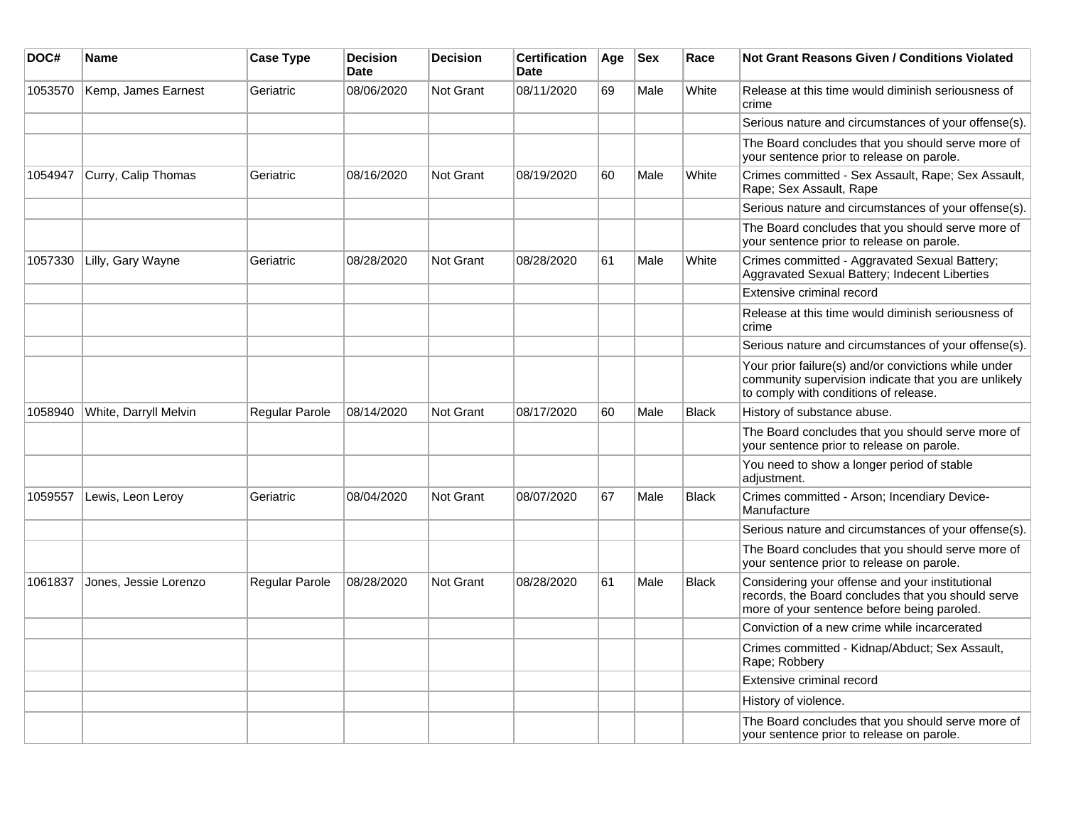| DOC#    | Name                  | <b>Case Type</b> | <b>Decision</b><br><b>Date</b> | <b>Decision</b>  | <b>Certification</b><br>Date | Age | <b>Sex</b> | Race         | Not Grant Reasons Given / Conditions Violated                                                                                                         |
|---------|-----------------------|------------------|--------------------------------|------------------|------------------------------|-----|------------|--------------|-------------------------------------------------------------------------------------------------------------------------------------------------------|
| 1053570 | Kemp, James Earnest   | Geriatric        | 08/06/2020                     | Not Grant        | 08/11/2020                   | 69  | Male       | White        | Release at this time would diminish seriousness of<br>crime                                                                                           |
|         |                       |                  |                                |                  |                              |     |            |              | Serious nature and circumstances of your offense(s).                                                                                                  |
|         |                       |                  |                                |                  |                              |     |            |              | The Board concludes that you should serve more of<br>your sentence prior to release on parole.                                                        |
| 1054947 | Curry, Calip Thomas   | Geriatric        | 08/16/2020                     | Not Grant        | 08/19/2020                   | 60  | Male       | White        | Crimes committed - Sex Assault, Rape; Sex Assault,<br>Rape; Sex Assault, Rape                                                                         |
|         |                       |                  |                                |                  |                              |     |            |              | Serious nature and circumstances of your offense(s).                                                                                                  |
|         |                       |                  |                                |                  |                              |     |            |              | The Board concludes that you should serve more of<br>your sentence prior to release on parole.                                                        |
| 1057330 | Lilly, Gary Wayne     | Geriatric        | 08/28/2020                     | Not Grant        | 08/28/2020                   | 61  | Male       | White        | Crimes committed - Aggravated Sexual Battery;<br>Aggravated Sexual Battery; Indecent Liberties                                                        |
|         |                       |                  |                                |                  |                              |     |            |              | Extensive criminal record                                                                                                                             |
|         |                       |                  |                                |                  |                              |     |            |              | Release at this time would diminish seriousness of<br>crime                                                                                           |
|         |                       |                  |                                |                  |                              |     |            |              | Serious nature and circumstances of your offense(s).                                                                                                  |
|         |                       |                  |                                |                  |                              |     |            |              | Your prior failure(s) and/or convictions while under<br>community supervision indicate that you are unlikely<br>to comply with conditions of release. |
| 1058940 | White, Darryll Melvin | Regular Parole   | 08/14/2020                     | <b>Not Grant</b> | 08/17/2020                   | 60  | Male       | <b>Black</b> | History of substance abuse.                                                                                                                           |
|         |                       |                  |                                |                  |                              |     |            |              | The Board concludes that you should serve more of<br>your sentence prior to release on parole.                                                        |
|         |                       |                  |                                |                  |                              |     |            |              | You need to show a longer period of stable<br>adjustment.                                                                                             |
| 1059557 | Lewis, Leon Leroy     | Geriatric        | 08/04/2020                     | <b>Not Grant</b> | 08/07/2020                   | 67  | Male       | <b>Black</b> | Crimes committed - Arson; Incendiary Device-<br>Manufacture                                                                                           |
|         |                       |                  |                                |                  |                              |     |            |              | Serious nature and circumstances of your offense(s).                                                                                                  |
|         |                       |                  |                                |                  |                              |     |            |              | The Board concludes that you should serve more of<br>your sentence prior to release on parole.                                                        |
| 1061837 | Jones, Jessie Lorenzo | Regular Parole   | 08/28/2020                     | <b>Not Grant</b> | 08/28/2020                   | 61  | Male       | <b>Black</b> | Considering your offense and your institutional<br>records, the Board concludes that you should serve<br>more of your sentence before being paroled.  |
|         |                       |                  |                                |                  |                              |     |            |              | Conviction of a new crime while incarcerated                                                                                                          |
|         |                       |                  |                                |                  |                              |     |            |              | Crimes committed - Kidnap/Abduct; Sex Assault,<br>Rape; Robbery                                                                                       |
|         |                       |                  |                                |                  |                              |     |            |              | Extensive criminal record                                                                                                                             |
|         |                       |                  |                                |                  |                              |     |            |              | History of violence.                                                                                                                                  |
|         |                       |                  |                                |                  |                              |     |            |              | The Board concludes that you should serve more of<br>your sentence prior to release on parole.                                                        |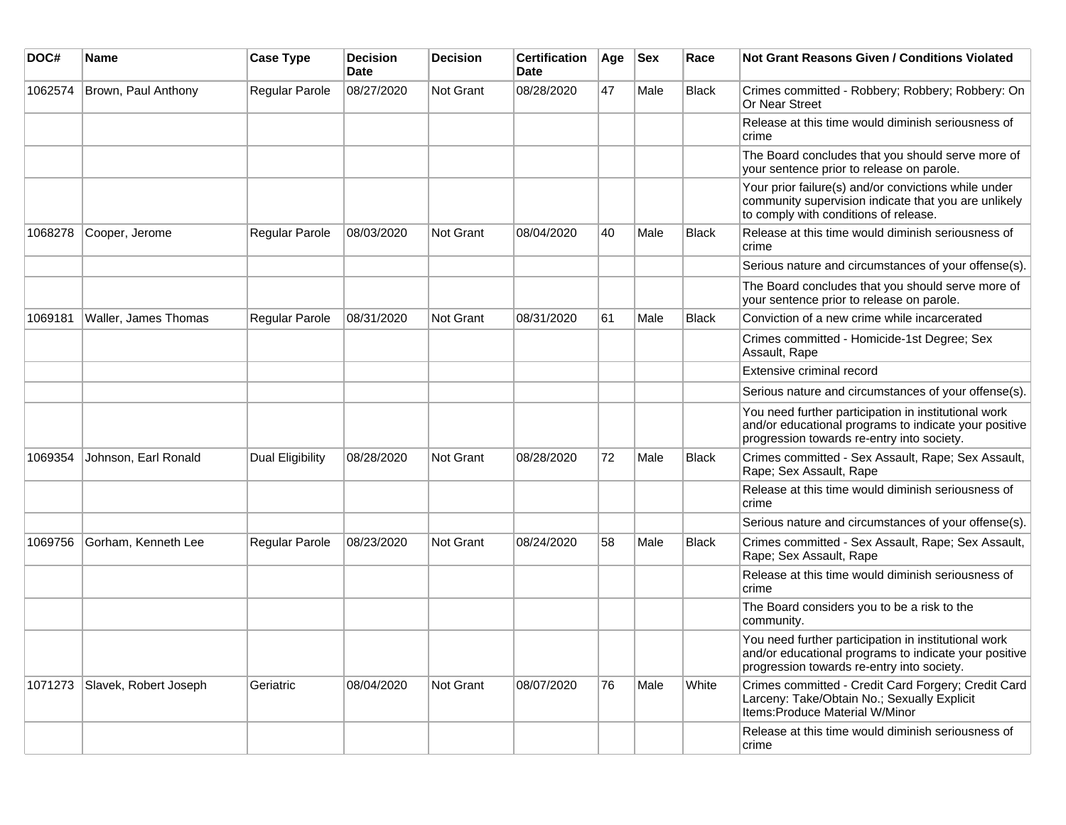| DOC#    | Name                  | <b>Case Type</b>      | <b>Decision</b><br>Date | <b>Decision</b>  | <b>Certification</b><br>Date | Age | <b>Sex</b> | Race  | <b>Not Grant Reasons Given / Conditions Violated</b>                                                                                                        |
|---------|-----------------------|-----------------------|-------------------------|------------------|------------------------------|-----|------------|-------|-------------------------------------------------------------------------------------------------------------------------------------------------------------|
| 1062574 | Brown, Paul Anthony   | Regular Parole        | 08/27/2020              | Not Grant        | 08/28/2020                   | 47  | Male       | Black | Crimes committed - Robbery; Robbery; Robbery: On<br>Or Near Street                                                                                          |
|         |                       |                       |                         |                  |                              |     |            |       | Release at this time would diminish seriousness of<br>crime                                                                                                 |
|         |                       |                       |                         |                  |                              |     |            |       | The Board concludes that you should serve more of<br>your sentence prior to release on parole.                                                              |
|         |                       |                       |                         |                  |                              |     |            |       | Your prior failure(s) and/or convictions while under<br>community supervision indicate that you are unlikely<br>to comply with conditions of release.       |
| 1068278 | Cooper, Jerome        | Regular Parole        | 08/03/2020              | Not Grant        | 08/04/2020                   | 40  | Male       | Black | Release at this time would diminish seriousness of<br>crime                                                                                                 |
|         |                       |                       |                         |                  |                              |     |            |       | Serious nature and circumstances of your offense(s).                                                                                                        |
|         |                       |                       |                         |                  |                              |     |            |       | The Board concludes that you should serve more of<br>your sentence prior to release on parole.                                                              |
| 1069181 | Waller, James Thomas  | Regular Parole        | 08/31/2020              | <b>Not Grant</b> | 08/31/2020                   | 61  | Male       | Black | Conviction of a new crime while incarcerated                                                                                                                |
|         |                       |                       |                         |                  |                              |     |            |       | Crimes committed - Homicide-1st Degree; Sex<br>Assault, Rape                                                                                                |
|         |                       |                       |                         |                  |                              |     |            |       | Extensive criminal record                                                                                                                                   |
|         |                       |                       |                         |                  |                              |     |            |       | Serious nature and circumstances of your offense(s).                                                                                                        |
|         |                       |                       |                         |                  |                              |     |            |       | You need further participation in institutional work<br>and/or educational programs to indicate your positive<br>progression towards re-entry into society. |
| 1069354 | Johnson, Earl Ronald  | Dual Eligibility      | 08/28/2020              | <b>Not Grant</b> | 08/28/2020                   | 72  | Male       | Black | Crimes committed - Sex Assault, Rape; Sex Assault,<br>Rape; Sex Assault, Rape                                                                               |
|         |                       |                       |                         |                  |                              |     |            |       | Release at this time would diminish seriousness of<br>crime                                                                                                 |
|         |                       |                       |                         |                  |                              |     |            |       | Serious nature and circumstances of your offense(s).                                                                                                        |
| 1069756 | Gorham, Kenneth Lee   | <b>Regular Parole</b> | 08/23/2020              | <b>Not Grant</b> | 08/24/2020                   | 58  | Male       | Black | Crimes committed - Sex Assault, Rape; Sex Assault,<br>Rape; Sex Assault, Rape                                                                               |
|         |                       |                       |                         |                  |                              |     |            |       | Release at this time would diminish seriousness of<br>crime                                                                                                 |
|         |                       |                       |                         |                  |                              |     |            |       | The Board considers you to be a risk to the<br>community.                                                                                                   |
|         |                       |                       |                         |                  |                              |     |            |       | You need further participation in institutional work<br>and/or educational programs to indicate your positive<br>progression towards re-entry into society. |
| 1071273 | Slavek, Robert Joseph | Geriatric             | 08/04/2020              | Not Grant        | 08/07/2020                   | 76  | Male       | White | Crimes committed - Credit Card Forgery; Credit Card<br>Larceny: Take/Obtain No.; Sexually Explicit<br>Items: Produce Material W/Minor                       |
|         |                       |                       |                         |                  |                              |     |            |       | Release at this time would diminish seriousness of<br>crime                                                                                                 |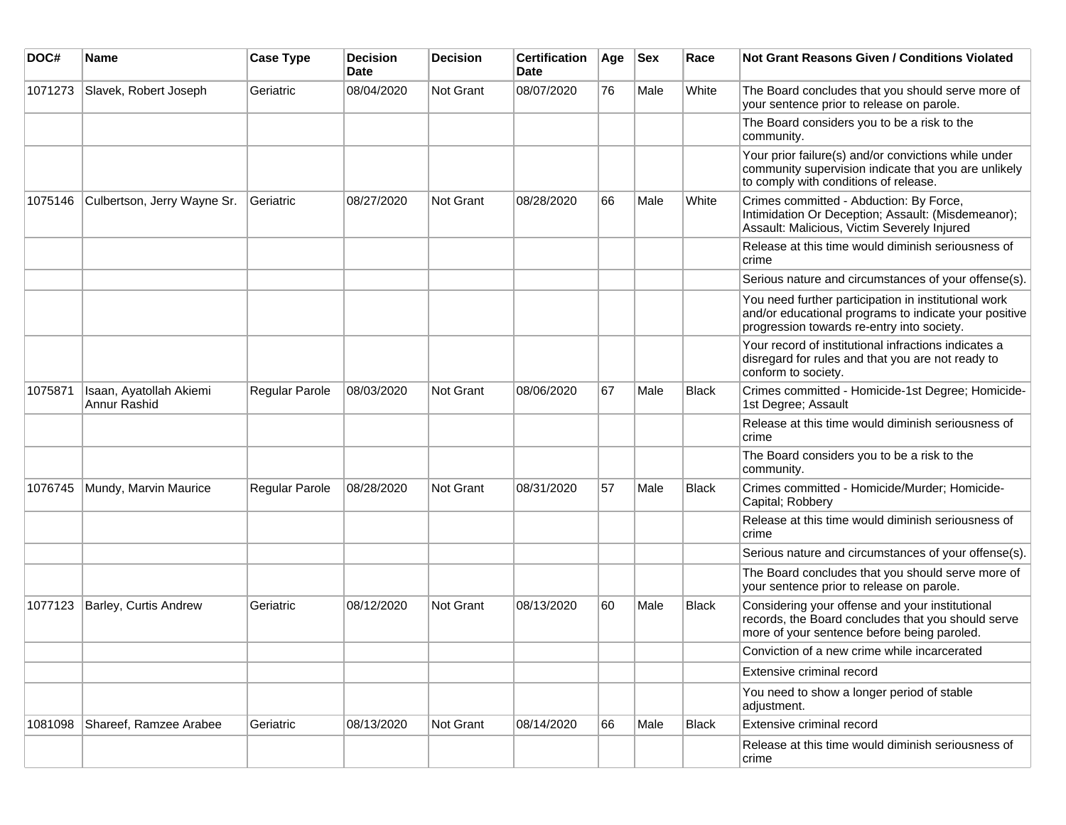| DOC#    | Name                                    | <b>Case Type</b> | <b>Decision</b><br>Date | <b>Decision</b> | <b>Certification</b><br>Date | Age | <b>Sex</b> | Race         | Not Grant Reasons Given / Conditions Violated                                                                                                               |
|---------|-----------------------------------------|------------------|-------------------------|-----------------|------------------------------|-----|------------|--------------|-------------------------------------------------------------------------------------------------------------------------------------------------------------|
| 1071273 | Slavek, Robert Joseph                   | Geriatric        | 08/04/2020              | Not Grant       | 08/07/2020                   | 76  | Male       | White        | The Board concludes that you should serve more of<br>your sentence prior to release on parole.                                                              |
|         |                                         |                  |                         |                 |                              |     |            |              | The Board considers you to be a risk to the<br>community.                                                                                                   |
|         |                                         |                  |                         |                 |                              |     |            |              | Your prior failure(s) and/or convictions while under<br>community supervision indicate that you are unlikely<br>to comply with conditions of release.       |
| 1075146 | Culbertson, Jerry Wayne Sr.             | Geriatric        | 08/27/2020              | Not Grant       | 08/28/2020                   | 66  | Male       | White        | Crimes committed - Abduction: By Force,<br>Intimidation Or Deception; Assault: (Misdemeanor);<br>Assault: Malicious, Victim Severely Injured                |
|         |                                         |                  |                         |                 |                              |     |            |              | Release at this time would diminish seriousness of<br>crime                                                                                                 |
|         |                                         |                  |                         |                 |                              |     |            |              | Serious nature and circumstances of your offense(s).                                                                                                        |
|         |                                         |                  |                         |                 |                              |     |            |              | You need further participation in institutional work<br>and/or educational programs to indicate your positive<br>progression towards re-entry into society. |
|         |                                         |                  |                         |                 |                              |     |            |              | Your record of institutional infractions indicates a<br>disregard for rules and that you are not ready to<br>conform to society.                            |
| 1075871 | Isaan, Ayatollah Akiemi<br>Annur Rashid | Regular Parole   | 08/03/2020              | Not Grant       | 08/06/2020                   | 67  | Male       | <b>Black</b> | Crimes committed - Homicide-1st Degree; Homicide-<br>1st Degree; Assault                                                                                    |
|         |                                         |                  |                         |                 |                              |     |            |              | Release at this time would diminish seriousness of<br>crime                                                                                                 |
|         |                                         |                  |                         |                 |                              |     |            |              | The Board considers you to be a risk to the<br>community.                                                                                                   |
| 1076745 | Mundy, Marvin Maurice                   | Regular Parole   | 08/28/2020              | Not Grant       | 08/31/2020                   | 57  | Male       | <b>Black</b> | Crimes committed - Homicide/Murder; Homicide-<br>Capital; Robbery                                                                                           |
|         |                                         |                  |                         |                 |                              |     |            |              | Release at this time would diminish seriousness of<br>crime                                                                                                 |
|         |                                         |                  |                         |                 |                              |     |            |              | Serious nature and circumstances of your offense(s).                                                                                                        |
|         |                                         |                  |                         |                 |                              |     |            |              | The Board concludes that you should serve more of<br>your sentence prior to release on parole.                                                              |
| 1077123 | <b>Barley, Curtis Andrew</b>            | Geriatric        | 08/12/2020              | Not Grant       | 08/13/2020                   | 60  | Male       | <b>Black</b> | Considering your offense and your institutional<br>records, the Board concludes that you should serve<br>more of your sentence before being paroled.        |
|         |                                         |                  |                         |                 |                              |     |            |              | Conviction of a new crime while incarcerated                                                                                                                |
|         |                                         |                  |                         |                 |                              |     |            |              | Extensive criminal record                                                                                                                                   |
|         |                                         |                  |                         |                 |                              |     |            |              | You need to show a longer period of stable<br>adjustment.                                                                                                   |
| 1081098 | Shareef, Ramzee Arabee                  | Geriatric        | 08/13/2020              | Not Grant       | 08/14/2020                   | 66  | Male       | <b>Black</b> | Extensive criminal record                                                                                                                                   |
|         |                                         |                  |                         |                 |                              |     |            |              | Release at this time would diminish seriousness of<br>crime                                                                                                 |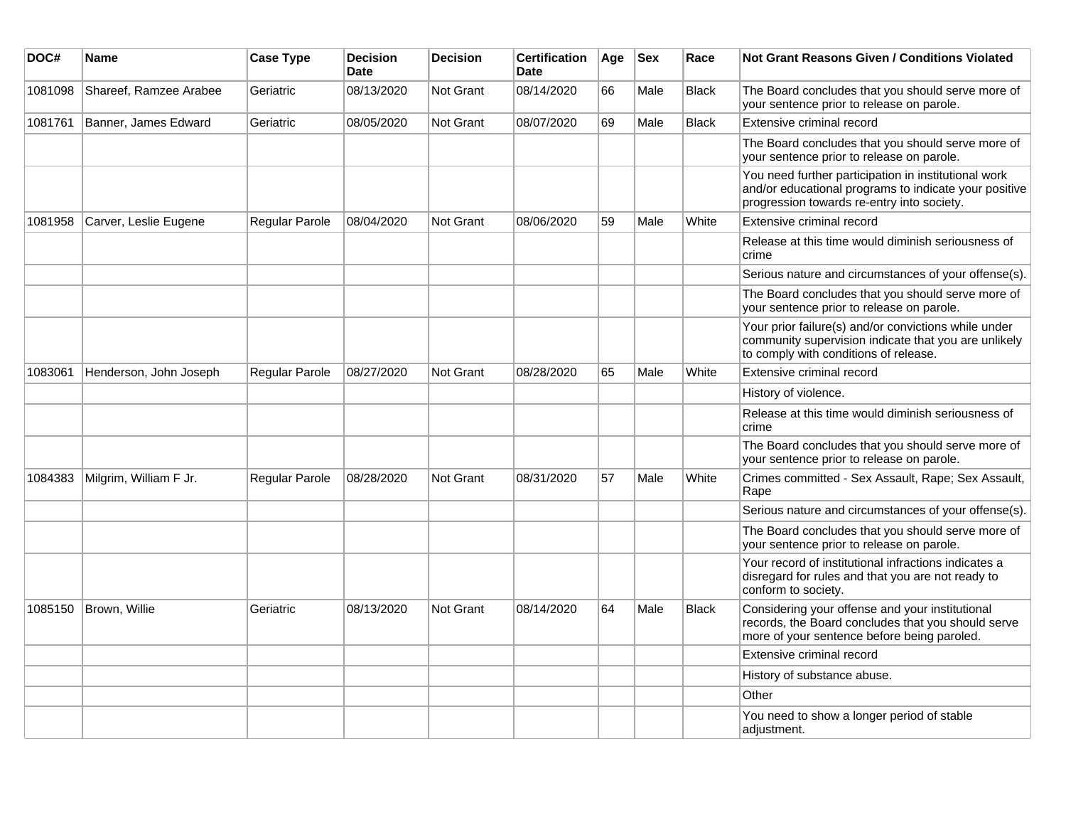| DOC#    | Name                   | <b>Case Type</b> | <b>Decision</b><br><b>Date</b> | <b>Decision</b>  | <b>Certification</b><br>Date | Age | <b>Sex</b> | Race         | Not Grant Reasons Given / Conditions Violated                                                                                                               |
|---------|------------------------|------------------|--------------------------------|------------------|------------------------------|-----|------------|--------------|-------------------------------------------------------------------------------------------------------------------------------------------------------------|
| 1081098 | Shareef, Ramzee Arabee | Geriatric        | 08/13/2020                     | <b>Not Grant</b> | 08/14/2020                   | 66  | Male       | <b>Black</b> | The Board concludes that you should serve more of<br>your sentence prior to release on parole.                                                              |
| 1081761 | Banner, James Edward   | Geriatric        | 08/05/2020                     | <b>Not Grant</b> | 08/07/2020                   | 69  | Male       | <b>Black</b> | Extensive criminal record                                                                                                                                   |
|         |                        |                  |                                |                  |                              |     |            |              | The Board concludes that you should serve more of<br>your sentence prior to release on parole.                                                              |
|         |                        |                  |                                |                  |                              |     |            |              | You need further participation in institutional work<br>and/or educational programs to indicate your positive<br>progression towards re-entry into society. |
| 1081958 | Carver, Leslie Eugene  | Regular Parole   | 08/04/2020                     | <b>Not Grant</b> | 08/06/2020                   | 59  | Male       | White        | Extensive criminal record                                                                                                                                   |
|         |                        |                  |                                |                  |                              |     |            |              | Release at this time would diminish seriousness of<br>crime                                                                                                 |
|         |                        |                  |                                |                  |                              |     |            |              | Serious nature and circumstances of your offense(s).                                                                                                        |
|         |                        |                  |                                |                  |                              |     |            |              | The Board concludes that you should serve more of<br>your sentence prior to release on parole.                                                              |
|         |                        |                  |                                |                  |                              |     |            |              | Your prior failure(s) and/or convictions while under<br>community supervision indicate that you are unlikely<br>to comply with conditions of release.       |
| 1083061 | Henderson, John Joseph | Regular Parole   | 08/27/2020                     | <b>Not Grant</b> | 08/28/2020                   | 65  | Male       | White        | Extensive criminal record                                                                                                                                   |
|         |                        |                  |                                |                  |                              |     |            |              | History of violence.                                                                                                                                        |
|         |                        |                  |                                |                  |                              |     |            |              | Release at this time would diminish seriousness of<br>crime                                                                                                 |
|         |                        |                  |                                |                  |                              |     |            |              | The Board concludes that you should serve more of<br>your sentence prior to release on parole.                                                              |
| 1084383 | Milgrim, William F Jr. | Regular Parole   | 08/28/2020                     | <b>Not Grant</b> | 08/31/2020                   | 57  | Male       | White        | Crimes committed - Sex Assault, Rape; Sex Assault,<br>Rape                                                                                                  |
|         |                        |                  |                                |                  |                              |     |            |              | Serious nature and circumstances of your offense(s).                                                                                                        |
|         |                        |                  |                                |                  |                              |     |            |              | The Board concludes that you should serve more of<br>your sentence prior to release on parole.                                                              |
|         |                        |                  |                                |                  |                              |     |            |              | Your record of institutional infractions indicates a<br>disregard for rules and that you are not ready to<br>conform to society.                            |
| 1085150 | Brown, Willie          | Geriatric        | 08/13/2020                     | Not Grant        | 08/14/2020                   | 64  | Male       | <b>Black</b> | Considering your offense and your institutional<br>records, the Board concludes that you should serve<br>more of your sentence before being paroled.        |
|         |                        |                  |                                |                  |                              |     |            |              | Extensive criminal record                                                                                                                                   |
|         |                        |                  |                                |                  |                              |     |            |              | History of substance abuse.                                                                                                                                 |
|         |                        |                  |                                |                  |                              |     |            |              | Other                                                                                                                                                       |
|         |                        |                  |                                |                  |                              |     |            |              | You need to show a longer period of stable<br>adjustment.                                                                                                   |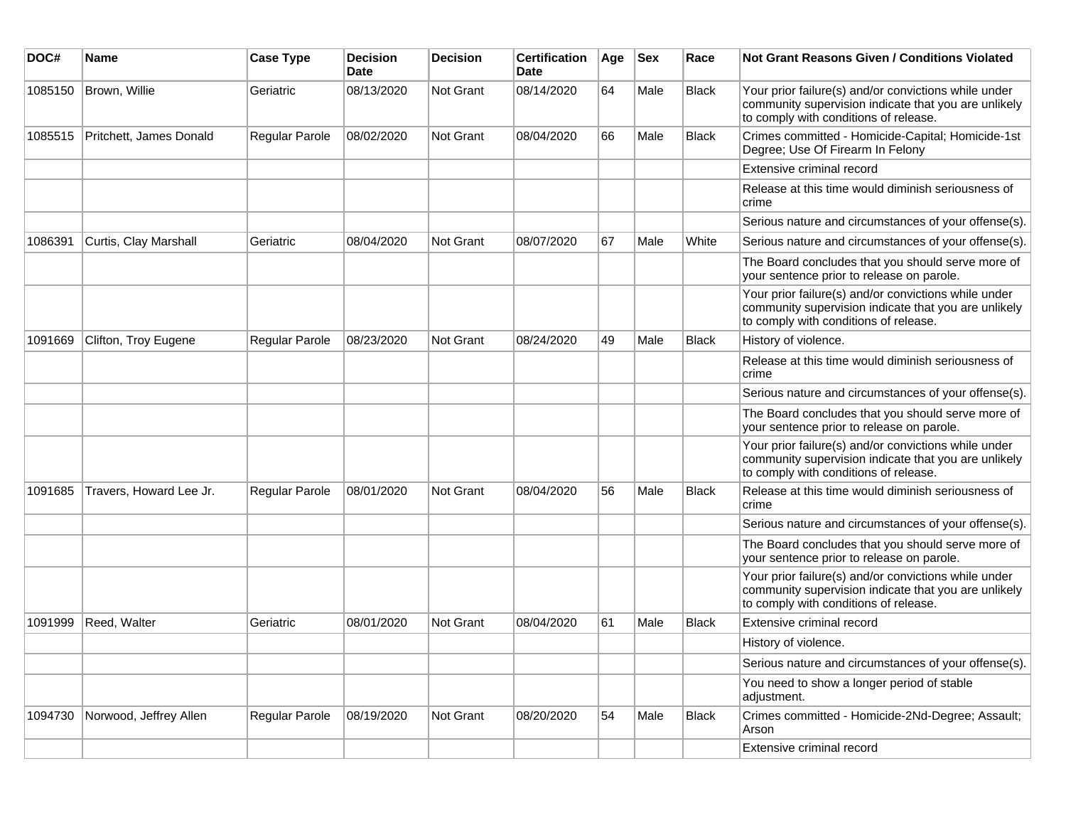| DOC#    | <b>Name</b>             | <b>Case Type</b> | <b>Decision</b><br>Date | <b>Decision</b> | <b>Certification</b><br>Date | Age | <b>Sex</b> | Race         | <b>Not Grant Reasons Given / Conditions Violated</b>                                                                                                  |
|---------|-------------------------|------------------|-------------------------|-----------------|------------------------------|-----|------------|--------------|-------------------------------------------------------------------------------------------------------------------------------------------------------|
| 1085150 | Brown, Willie           | Geriatric        | 08/13/2020              | Not Grant       | 08/14/2020                   | 64  | Male       | <b>Black</b> | Your prior failure(s) and/or convictions while under<br>community supervision indicate that you are unlikely<br>to comply with conditions of release. |
| 1085515 | Pritchett, James Donald | Regular Parole   | 08/02/2020              | Not Grant       | 08/04/2020                   | 66  | Male       | <b>Black</b> | Crimes committed - Homicide-Capital; Homicide-1st<br>Degree; Use Of Firearm In Felony                                                                 |
|         |                         |                  |                         |                 |                              |     |            |              | Extensive criminal record                                                                                                                             |
|         |                         |                  |                         |                 |                              |     |            |              | Release at this time would diminish seriousness of<br>crime                                                                                           |
|         |                         |                  |                         |                 |                              |     |            |              | Serious nature and circumstances of your offense(s).                                                                                                  |
| 1086391 | Curtis, Clay Marshall   | Geriatric        | 08/04/2020              | Not Grant       | 08/07/2020                   | 67  | Male       | White        | Serious nature and circumstances of your offense(s).                                                                                                  |
|         |                         |                  |                         |                 |                              |     |            |              | The Board concludes that you should serve more of<br>your sentence prior to release on parole.                                                        |
|         |                         |                  |                         |                 |                              |     |            |              | Your prior failure(s) and/or convictions while under<br>community supervision indicate that you are unlikely<br>to comply with conditions of release. |
| 1091669 | Clifton, Troy Eugene    | Regular Parole   | 08/23/2020              | Not Grant       | 08/24/2020                   | 49  | Male       | <b>Black</b> | History of violence.                                                                                                                                  |
|         |                         |                  |                         |                 |                              |     |            |              | Release at this time would diminish seriousness of<br>crime                                                                                           |
|         |                         |                  |                         |                 |                              |     |            |              | Serious nature and circumstances of your offense(s).                                                                                                  |
|         |                         |                  |                         |                 |                              |     |            |              | The Board concludes that you should serve more of<br>your sentence prior to release on parole.                                                        |
|         |                         |                  |                         |                 |                              |     |            |              | Your prior failure(s) and/or convictions while under<br>community supervision indicate that you are unlikely<br>to comply with conditions of release. |
| 1091685 | Travers, Howard Lee Jr. | Regular Parole   | 08/01/2020              | Not Grant       | 08/04/2020                   | 56  | Male       | Black        | Release at this time would diminish seriousness of<br>crime                                                                                           |
|         |                         |                  |                         |                 |                              |     |            |              | Serious nature and circumstances of your offense(s).                                                                                                  |
|         |                         |                  |                         |                 |                              |     |            |              | The Board concludes that you should serve more of<br>your sentence prior to release on parole.                                                        |
|         |                         |                  |                         |                 |                              |     |            |              | Your prior failure(s) and/or convictions while under<br>community supervision indicate that you are unlikely<br>to comply with conditions of release. |
| 1091999 | Reed, Walter            | Geriatric        | 08/01/2020              | Not Grant       | 08/04/2020                   | 61  | Male       | <b>Black</b> | Extensive criminal record                                                                                                                             |
|         |                         |                  |                         |                 |                              |     |            |              | History of violence.                                                                                                                                  |
|         |                         |                  |                         |                 |                              |     |            |              | Serious nature and circumstances of your offense(s).                                                                                                  |
|         |                         |                  |                         |                 |                              |     |            |              | You need to show a longer period of stable<br>adjustment.                                                                                             |
| 1094730 | Norwood, Jeffrey Allen  | Regular Parole   | 08/19/2020              | Not Grant       | 08/20/2020                   | 54  | Male       | <b>Black</b> | Crimes committed - Homicide-2Nd-Degree; Assault;<br>Arson                                                                                             |
|         |                         |                  |                         |                 |                              |     |            |              | Extensive criminal record                                                                                                                             |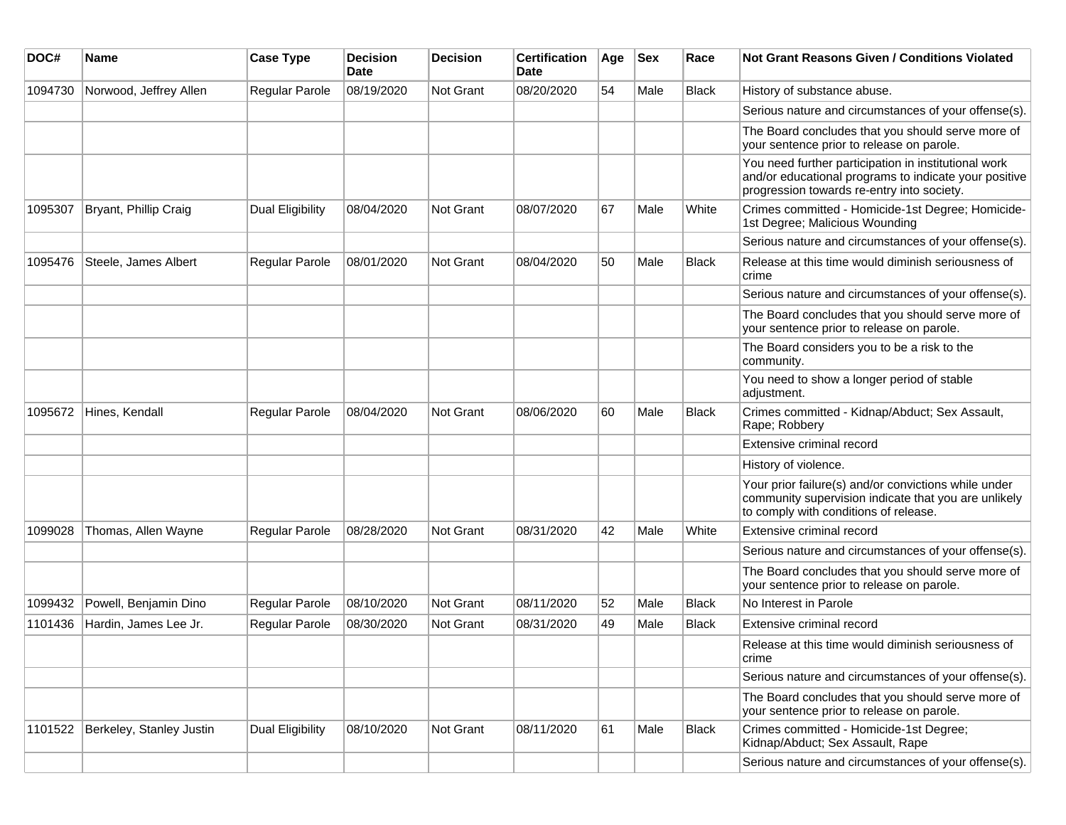| DOC#    | Name                     | <b>Case Type</b>        | <b>Decision</b><br>Date | <b>Decision</b>  | <b>Certification</b><br>Date | Age | <b>Sex</b> | Race         | <b>Not Grant Reasons Given / Conditions Violated</b>                                                                                                        |
|---------|--------------------------|-------------------------|-------------------------|------------------|------------------------------|-----|------------|--------------|-------------------------------------------------------------------------------------------------------------------------------------------------------------|
| 1094730 | Norwood, Jeffrey Allen   | Regular Parole          | 08/19/2020              | Not Grant        | 08/20/2020                   | 54  | Male       | Black        | History of substance abuse.                                                                                                                                 |
|         |                          |                         |                         |                  |                              |     |            |              | Serious nature and circumstances of your offense(s).                                                                                                        |
|         |                          |                         |                         |                  |                              |     |            |              | The Board concludes that you should serve more of<br>your sentence prior to release on parole.                                                              |
|         |                          |                         |                         |                  |                              |     |            |              | You need further participation in institutional work<br>and/or educational programs to indicate your positive<br>progression towards re-entry into society. |
| 1095307 | Bryant, Phillip Craig    | <b>Dual Eligibility</b> | 08/04/2020              | Not Grant        | 08/07/2020                   | 67  | Male       | White        | Crimes committed - Homicide-1st Degree; Homicide-<br>1st Degree; Malicious Wounding                                                                         |
|         |                          |                         |                         |                  |                              |     |            |              | Serious nature and circumstances of your offense(s).                                                                                                        |
| 1095476 | Steele, James Albert     | Regular Parole          | 08/01/2020              | Not Grant        | 08/04/2020                   | 50  | Male       | <b>Black</b> | Release at this time would diminish seriousness of<br>crime                                                                                                 |
|         |                          |                         |                         |                  |                              |     |            |              | Serious nature and circumstances of your offense(s).                                                                                                        |
|         |                          |                         |                         |                  |                              |     |            |              | The Board concludes that you should serve more of<br>your sentence prior to release on parole.                                                              |
|         |                          |                         |                         |                  |                              |     |            |              | The Board considers you to be a risk to the<br>community.                                                                                                   |
|         |                          |                         |                         |                  |                              |     |            |              | You need to show a longer period of stable<br>adjustment.                                                                                                   |
| 1095672 | Hines, Kendall           | Regular Parole          | 08/04/2020              | Not Grant        | 08/06/2020                   | 60  | Male       | <b>Black</b> | Crimes committed - Kidnap/Abduct; Sex Assault,<br>Rape; Robbery                                                                                             |
|         |                          |                         |                         |                  |                              |     |            |              | Extensive criminal record                                                                                                                                   |
|         |                          |                         |                         |                  |                              |     |            |              | History of violence.                                                                                                                                        |
|         |                          |                         |                         |                  |                              |     |            |              | Your prior failure(s) and/or convictions while under<br>community supervision indicate that you are unlikely<br>to comply with conditions of release.       |
| 1099028 | Thomas, Allen Wayne      | <b>Regular Parole</b>   | 08/28/2020              | Not Grant        | 08/31/2020                   | 42  | Male       | White        | Extensive criminal record                                                                                                                                   |
|         |                          |                         |                         |                  |                              |     |            |              | Serious nature and circumstances of your offense(s).                                                                                                        |
|         |                          |                         |                         |                  |                              |     |            |              | The Board concludes that you should serve more of<br>your sentence prior to release on parole.                                                              |
| 1099432 | Powell, Benjamin Dino    | Regular Parole          | 08/10/2020              | Not Grant        | 08/11/2020                   | 52  | Male       | <b>Black</b> | No Interest in Parole                                                                                                                                       |
| 1101436 | Hardin, James Lee Jr.    | Regular Parole          | 08/30/2020              | <b>Not Grant</b> | 08/31/2020                   | 49  | Male       | <b>Black</b> | Extensive criminal record                                                                                                                                   |
|         |                          |                         |                         |                  |                              |     |            |              | Release at this time would diminish seriousness of<br>crime                                                                                                 |
|         |                          |                         |                         |                  |                              |     |            |              | Serious nature and circumstances of your offense(s).                                                                                                        |
|         |                          |                         |                         |                  |                              |     |            |              | The Board concludes that you should serve more of<br>your sentence prior to release on parole.                                                              |
| 1101522 | Berkeley, Stanley Justin | Dual Eligibility        | 08/10/2020              | Not Grant        | 08/11/2020                   | 61  | Male       | <b>Black</b> | Crimes committed - Homicide-1st Degree;<br>Kidnap/Abduct; Sex Assault, Rape                                                                                 |
|         |                          |                         |                         |                  |                              |     |            |              | Serious nature and circumstances of your offense(s).                                                                                                        |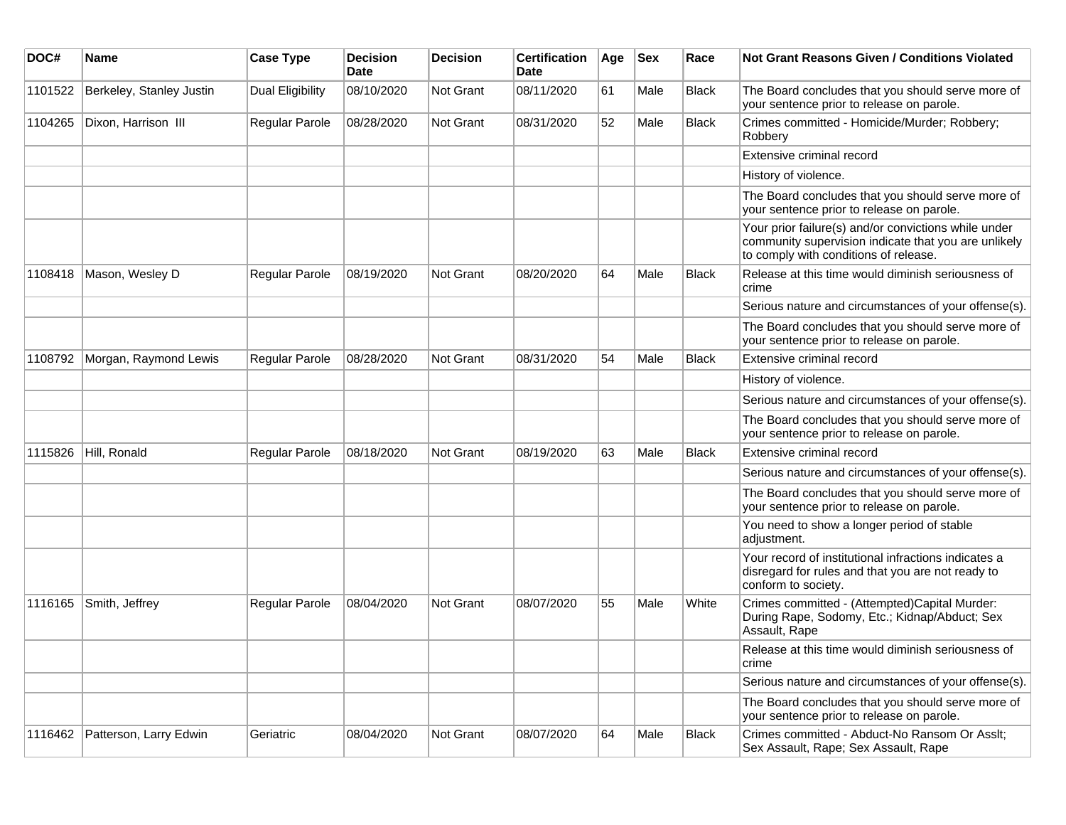| DOC#    | <b>Name</b>              | <b>Case Type</b>        | <b>Decision</b><br>Date | <b>Decision</b>  | <b>Certification</b><br>Date | Age | <b>Sex</b> | Race         | Not Grant Reasons Given / Conditions Violated                                                                                                         |
|---------|--------------------------|-------------------------|-------------------------|------------------|------------------------------|-----|------------|--------------|-------------------------------------------------------------------------------------------------------------------------------------------------------|
| 1101522 | Berkeley, Stanley Justin | <b>Dual Eligibility</b> | 08/10/2020              | Not Grant        | 08/11/2020                   | 61  | Male       | <b>Black</b> | The Board concludes that you should serve more of<br>your sentence prior to release on parole.                                                        |
| 1104265 | Dixon, Harrison III      | Regular Parole          | 08/28/2020              | Not Grant        | 08/31/2020                   | 52  | Male       | <b>Black</b> | Crimes committed - Homicide/Murder; Robbery;<br>Robbery                                                                                               |
|         |                          |                         |                         |                  |                              |     |            |              | Extensive criminal record                                                                                                                             |
|         |                          |                         |                         |                  |                              |     |            |              | History of violence.                                                                                                                                  |
|         |                          |                         |                         |                  |                              |     |            |              | The Board concludes that you should serve more of<br>your sentence prior to release on parole.                                                        |
|         |                          |                         |                         |                  |                              |     |            |              | Your prior failure(s) and/or convictions while under<br>community supervision indicate that you are unlikely<br>to comply with conditions of release. |
| 1108418 | Mason, Wesley D          | Regular Parole          | 08/19/2020              | Not Grant        | 08/20/2020                   | 64  | Male       | <b>Black</b> | Release at this time would diminish seriousness of<br>crime                                                                                           |
|         |                          |                         |                         |                  |                              |     |            |              | Serious nature and circumstances of your offense(s).                                                                                                  |
|         |                          |                         |                         |                  |                              |     |            |              | The Board concludes that you should serve more of<br>your sentence prior to release on parole.                                                        |
| 1108792 | Morgan, Raymond Lewis    | Regular Parole          | 08/28/2020              | <b>Not Grant</b> | 08/31/2020                   | 54  | Male       | <b>Black</b> | Extensive criminal record                                                                                                                             |
|         |                          |                         |                         |                  |                              |     |            |              | History of violence.                                                                                                                                  |
|         |                          |                         |                         |                  |                              |     |            |              | Serious nature and circumstances of your offense(s).                                                                                                  |
|         |                          |                         |                         |                  |                              |     |            |              | The Board concludes that you should serve more of<br>your sentence prior to release on parole.                                                        |
| 1115826 | Hill, Ronald             | Regular Parole          | 08/18/2020              | Not Grant        | 08/19/2020                   | 63  | Male       | <b>Black</b> | Extensive criminal record                                                                                                                             |
|         |                          |                         |                         |                  |                              |     |            |              | Serious nature and circumstances of your offense(s).                                                                                                  |
|         |                          |                         |                         |                  |                              |     |            |              | The Board concludes that you should serve more of<br>your sentence prior to release on parole.                                                        |
|         |                          |                         |                         |                  |                              |     |            |              | You need to show a longer period of stable<br>adjustment.                                                                                             |
|         |                          |                         |                         |                  |                              |     |            |              | Your record of institutional infractions indicates a<br>disregard for rules and that you are not ready to<br>conform to society.                      |
| 1116165 | Smith, Jeffrey           | Regular Parole          | 08/04/2020              | Not Grant        | 08/07/2020                   | 55  | Male       | White        | Crimes committed - (Attempted)Capital Murder:<br>During Rape, Sodomy, Etc.; Kidnap/Abduct; Sex<br>Assault, Rape                                       |
|         |                          |                         |                         |                  |                              |     |            |              | Release at this time would diminish seriousness of<br>crime                                                                                           |
|         |                          |                         |                         |                  |                              |     |            |              | Serious nature and circumstances of your offense(s).                                                                                                  |
|         |                          |                         |                         |                  |                              |     |            |              | The Board concludes that you should serve more of<br>your sentence prior to release on parole.                                                        |
| 1116462 | Patterson, Larry Edwin   | Geriatric               | 08/04/2020              | Not Grant        | 08/07/2020                   | 64  | Male       | <b>Black</b> | Crimes committed - Abduct-No Ransom Or Asslt;<br>Sex Assault, Rape; Sex Assault, Rape                                                                 |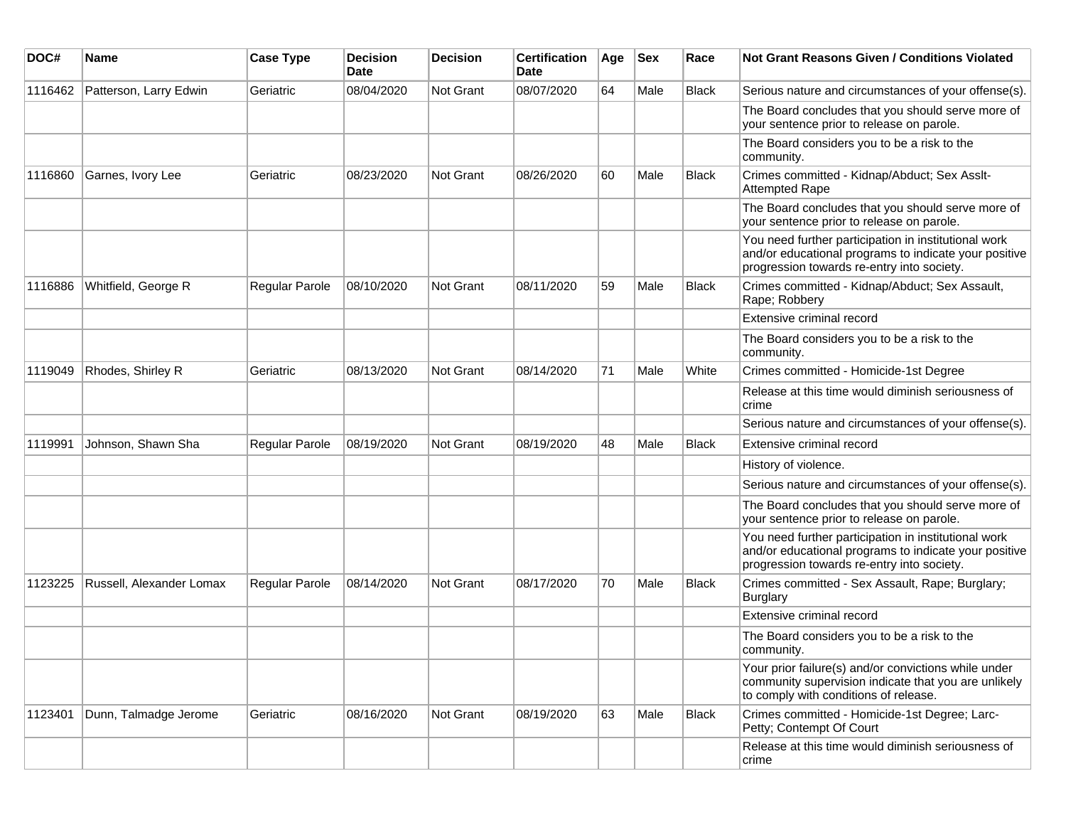| DOC#    | <b>Name</b>              | <b>Case Type</b> | <b>Decision</b><br><b>Date</b> | <b>Decision</b> | <b>Certification</b><br>Date | Age | $ $ Sex | Race         | Not Grant Reasons Given / Conditions Violated                                                                                                               |
|---------|--------------------------|------------------|--------------------------------|-----------------|------------------------------|-----|---------|--------------|-------------------------------------------------------------------------------------------------------------------------------------------------------------|
| 1116462 | Patterson, Larry Edwin   | Geriatric        | 08/04/2020                     | Not Grant       | 08/07/2020                   | 64  | Male    | Black        | Serious nature and circumstances of your offense(s).                                                                                                        |
|         |                          |                  |                                |                 |                              |     |         |              | The Board concludes that you should serve more of<br>your sentence prior to release on parole.                                                              |
|         |                          |                  |                                |                 |                              |     |         |              | The Board considers you to be a risk to the<br>community.                                                                                                   |
| 1116860 | Garnes, Ivory Lee        | Geriatric        | 08/23/2020                     | Not Grant       | 08/26/2020                   | 60  | Male    | <b>Black</b> | Crimes committed - Kidnap/Abduct; Sex Asslt-<br><b>Attempted Rape</b>                                                                                       |
|         |                          |                  |                                |                 |                              |     |         |              | The Board concludes that you should serve more of<br>your sentence prior to release on parole.                                                              |
|         |                          |                  |                                |                 |                              |     |         |              | You need further participation in institutional work<br>and/or educational programs to indicate your positive<br>progression towards re-entry into society. |
| 1116886 | Whitfield, George R      | Regular Parole   | 08/10/2020                     | Not Grant       | 08/11/2020                   | 59  | Male    | <b>Black</b> | Crimes committed - Kidnap/Abduct; Sex Assault,<br>Rape; Robbery                                                                                             |
|         |                          |                  |                                |                 |                              |     |         |              | Extensive criminal record                                                                                                                                   |
|         |                          |                  |                                |                 |                              |     |         |              | The Board considers you to be a risk to the<br>community.                                                                                                   |
| 1119049 | Rhodes, Shirley R        | Geriatric        | 08/13/2020                     | Not Grant       | 08/14/2020                   | 71  | Male    | White        | Crimes committed - Homicide-1st Degree                                                                                                                      |
|         |                          |                  |                                |                 |                              |     |         |              | Release at this time would diminish seriousness of<br>crime                                                                                                 |
|         |                          |                  |                                |                 |                              |     |         |              | Serious nature and circumstances of your offense(s).                                                                                                        |
| 1119991 | Johnson, Shawn Sha       | Regular Parole   | 08/19/2020                     | Not Grant       | 08/19/2020                   | 48  | Male    | <b>Black</b> | Extensive criminal record                                                                                                                                   |
|         |                          |                  |                                |                 |                              |     |         |              | History of violence.                                                                                                                                        |
|         |                          |                  |                                |                 |                              |     |         |              | Serious nature and circumstances of your offense(s).                                                                                                        |
|         |                          |                  |                                |                 |                              |     |         |              | The Board concludes that you should serve more of<br>your sentence prior to release on parole.                                                              |
|         |                          |                  |                                |                 |                              |     |         |              | You need further participation in institutional work<br>and/or educational programs to indicate your positive<br>progression towards re-entry into society. |
| 1123225 | Russell, Alexander Lomax | Regular Parole   | 08/14/2020                     | Not Grant       | 08/17/2020                   | 70  | Male    | <b>Black</b> | Crimes committed - Sex Assault, Rape; Burglary;<br><b>Burglary</b>                                                                                          |
|         |                          |                  |                                |                 |                              |     |         |              | Extensive criminal record                                                                                                                                   |
|         |                          |                  |                                |                 |                              |     |         |              | The Board considers you to be a risk to the<br>community.                                                                                                   |
|         |                          |                  |                                |                 |                              |     |         |              | Your prior failure(s) and/or convictions while under<br>community supervision indicate that you are unlikely<br>to comply with conditions of release.       |
| 1123401 | Dunn, Talmadge Jerome    | Geriatric        | 08/16/2020                     | Not Grant       | 08/19/2020                   | 63  | Male    | <b>Black</b> | Crimes committed - Homicide-1st Degree; Larc-<br>Petty; Contempt Of Court                                                                                   |
|         |                          |                  |                                |                 |                              |     |         |              | Release at this time would diminish seriousness of<br>crime                                                                                                 |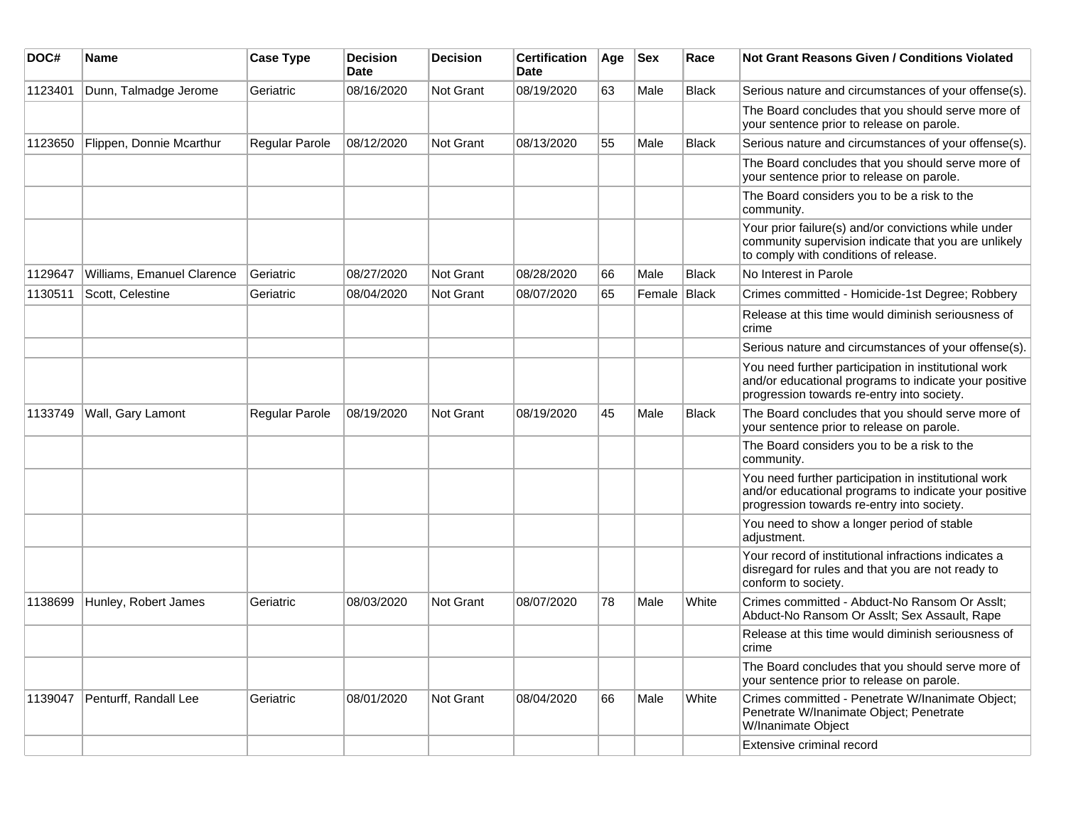| DOC#    | <b>Name</b>                | <b>Case Type</b> | <b>Decision</b><br>Date | <b>Decision</b> | <b>Certification</b><br>Date | Age | <b>Sex</b> | Race         | Not Grant Reasons Given / Conditions Violated                                                                                                               |
|---------|----------------------------|------------------|-------------------------|-----------------|------------------------------|-----|------------|--------------|-------------------------------------------------------------------------------------------------------------------------------------------------------------|
| 1123401 | Dunn, Talmadge Jerome      | Geriatric        | 08/16/2020              | Not Grant       | 08/19/2020                   | 63  | Male       | <b>Black</b> | Serious nature and circumstances of your offense(s).                                                                                                        |
|         |                            |                  |                         |                 |                              |     |            |              | The Board concludes that you should serve more of<br>your sentence prior to release on parole.                                                              |
| 1123650 | Flippen, Donnie Mcarthur   | Regular Parole   | 08/12/2020              | Not Grant       | 08/13/2020                   | 55  | Male       | <b>Black</b> | Serious nature and circumstances of your offense(s).                                                                                                        |
|         |                            |                  |                         |                 |                              |     |            |              | The Board concludes that you should serve more of<br>your sentence prior to release on parole.                                                              |
|         |                            |                  |                         |                 |                              |     |            |              | The Board considers you to be a risk to the<br>community.                                                                                                   |
|         |                            |                  |                         |                 |                              |     |            |              | Your prior failure(s) and/or convictions while under<br>community supervision indicate that you are unlikely<br>to comply with conditions of release.       |
| 1129647 | Williams, Emanuel Clarence | Geriatric        | 08/27/2020              | Not Grant       | 08/28/2020                   | 66  | Male       | <b>Black</b> | No Interest in Parole                                                                                                                                       |
| 1130511 | Scott, Celestine           | Geriatric        | 08/04/2020              | Not Grant       | 08/07/2020                   | 65  | Female     | Black        | Crimes committed - Homicide-1st Degree; Robbery                                                                                                             |
|         |                            |                  |                         |                 |                              |     |            |              | Release at this time would diminish seriousness of<br>crime                                                                                                 |
|         |                            |                  |                         |                 |                              |     |            |              | Serious nature and circumstances of your offense(s).                                                                                                        |
|         |                            |                  |                         |                 |                              |     |            |              | You need further participation in institutional work<br>and/or educational programs to indicate your positive<br>progression towards re-entry into society. |
| 1133749 | Wall, Gary Lamont          | Regular Parole   | 08/19/2020              | Not Grant       | 08/19/2020                   | 45  | Male       | <b>Black</b> | The Board concludes that you should serve more of<br>your sentence prior to release on parole.                                                              |
|         |                            |                  |                         |                 |                              |     |            |              | The Board considers you to be a risk to the<br>community.                                                                                                   |
|         |                            |                  |                         |                 |                              |     |            |              | You need further participation in institutional work<br>and/or educational programs to indicate your positive<br>progression towards re-entry into society. |
|         |                            |                  |                         |                 |                              |     |            |              | You need to show a longer period of stable<br>adjustment.                                                                                                   |
|         |                            |                  |                         |                 |                              |     |            |              | Your record of institutional infractions indicates a<br>disregard for rules and that you are not ready to<br>conform to society.                            |
| 1138699 | Hunley, Robert James       | Geriatric        | 08/03/2020              | Not Grant       | 08/07/2020                   | 78  | Male       | White        | Crimes committed - Abduct-No Ransom Or Asslt;<br>Abduct-No Ransom Or Asslt; Sex Assault, Rape                                                               |
|         |                            |                  |                         |                 |                              |     |            |              | Release at this time would diminish seriousness of<br>crime                                                                                                 |
|         |                            |                  |                         |                 |                              |     |            |              | The Board concludes that you should serve more of<br>your sentence prior to release on parole.                                                              |
| 1139047 | Penturff, Randall Lee      | Geriatric        | 08/01/2020              | Not Grant       | 08/04/2020                   | 66  | Male       | White        | Crimes committed - Penetrate W/Inanimate Object;<br>Penetrate W/Inanimate Object; Penetrate<br>W/Inanimate Object                                           |
|         |                            |                  |                         |                 |                              |     |            |              | Extensive criminal record                                                                                                                                   |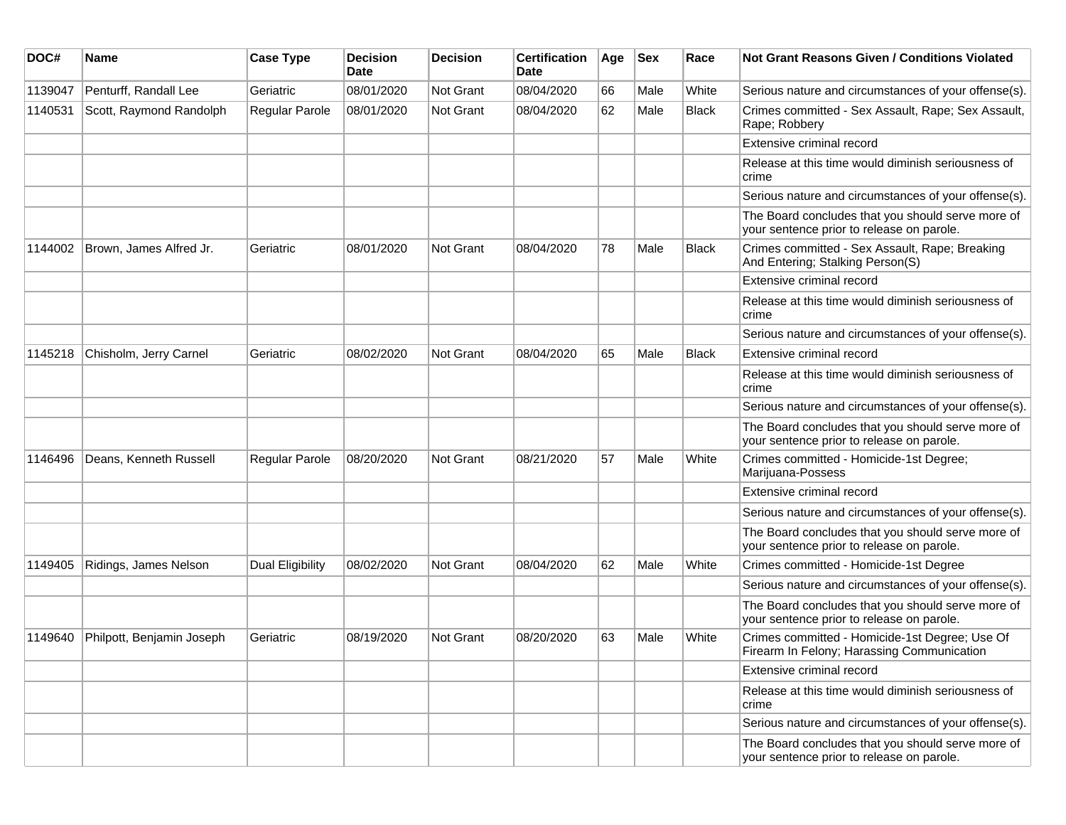| DOC#    | Name                      | <b>Case Type</b>      | <b>Decision</b><br>Date | <b>Decision</b>  | <b>Certification</b><br>Date | Age | <b>Sex</b> | Race         | <b>Not Grant Reasons Given / Conditions Violated</b>                                           |
|---------|---------------------------|-----------------------|-------------------------|------------------|------------------------------|-----|------------|--------------|------------------------------------------------------------------------------------------------|
| 1139047 | Penturff, Randall Lee     | Geriatric             | 08/01/2020              | Not Grant        | 08/04/2020                   | 66  | Male       | White        | Serious nature and circumstances of your offense(s).                                           |
| 1140531 | Scott, Raymond Randolph   | <b>Regular Parole</b> | 08/01/2020              | <b>Not Grant</b> | 08/04/2020                   | 62  | Male       | <b>Black</b> | Crimes committed - Sex Assault, Rape; Sex Assault,<br>Rape; Robbery                            |
|         |                           |                       |                         |                  |                              |     |            |              | Extensive criminal record                                                                      |
|         |                           |                       |                         |                  |                              |     |            |              | Release at this time would diminish seriousness of<br>crime                                    |
|         |                           |                       |                         |                  |                              |     |            |              | Serious nature and circumstances of your offense(s).                                           |
|         |                           |                       |                         |                  |                              |     |            |              | The Board concludes that you should serve more of<br>your sentence prior to release on parole. |
| 1144002 | Brown, James Alfred Jr.   | Geriatric             | 08/01/2020              | Not Grant        | 08/04/2020                   | 78  | Male       | <b>Black</b> | Crimes committed - Sex Assault, Rape; Breaking<br>And Entering; Stalking Person(S)             |
|         |                           |                       |                         |                  |                              |     |            |              | Extensive criminal record                                                                      |
|         |                           |                       |                         |                  |                              |     |            |              | Release at this time would diminish seriousness of<br>crime                                    |
|         |                           |                       |                         |                  |                              |     |            |              | Serious nature and circumstances of your offense(s).                                           |
| 1145218 | Chisholm, Jerry Carnel    | Geriatric             | 08/02/2020              | <b>Not Grant</b> | 08/04/2020                   | 65  | Male       | Black        | Extensive criminal record                                                                      |
|         |                           |                       |                         |                  |                              |     |            |              | Release at this time would diminish seriousness of<br>crime                                    |
|         |                           |                       |                         |                  |                              |     |            |              | Serious nature and circumstances of your offense(s).                                           |
|         |                           |                       |                         |                  |                              |     |            |              | The Board concludes that you should serve more of<br>your sentence prior to release on parole. |
| 1146496 | Deans, Kenneth Russell    | Regular Parole        | 08/20/2020              | <b>Not Grant</b> | 08/21/2020                   | 57  | Male       | White        | Crimes committed - Homicide-1st Degree;<br>Marijuana-Possess                                   |
|         |                           |                       |                         |                  |                              |     |            |              | Extensive criminal record                                                                      |
|         |                           |                       |                         |                  |                              |     |            |              | Serious nature and circumstances of your offense(s).                                           |
|         |                           |                       |                         |                  |                              |     |            |              | The Board concludes that you should serve more of<br>your sentence prior to release on parole. |
| 1149405 | Ridings, James Nelson     | Dual Eligibility      | 08/02/2020              | <b>Not Grant</b> | 08/04/2020                   | 62  | Male       | White        | Crimes committed - Homicide-1st Degree                                                         |
|         |                           |                       |                         |                  |                              |     |            |              | Serious nature and circumstances of your offense(s).                                           |
|         |                           |                       |                         |                  |                              |     |            |              | The Board concludes that you should serve more of<br>your sentence prior to release on parole. |
| 1149640 | Philpott, Benjamin Joseph | Geriatric             | 08/19/2020              | <b>Not Grant</b> | 08/20/2020                   | 63  | Male       | White        | Crimes committed - Homicide-1st Degree; Use Of<br>Firearm In Felony; Harassing Communication   |
|         |                           |                       |                         |                  |                              |     |            |              | Extensive criminal record                                                                      |
|         |                           |                       |                         |                  |                              |     |            |              | Release at this time would diminish seriousness of<br>crime                                    |
|         |                           |                       |                         |                  |                              |     |            |              | Serious nature and circumstances of your offense(s).                                           |
|         |                           |                       |                         |                  |                              |     |            |              | The Board concludes that you should serve more of<br>your sentence prior to release on parole. |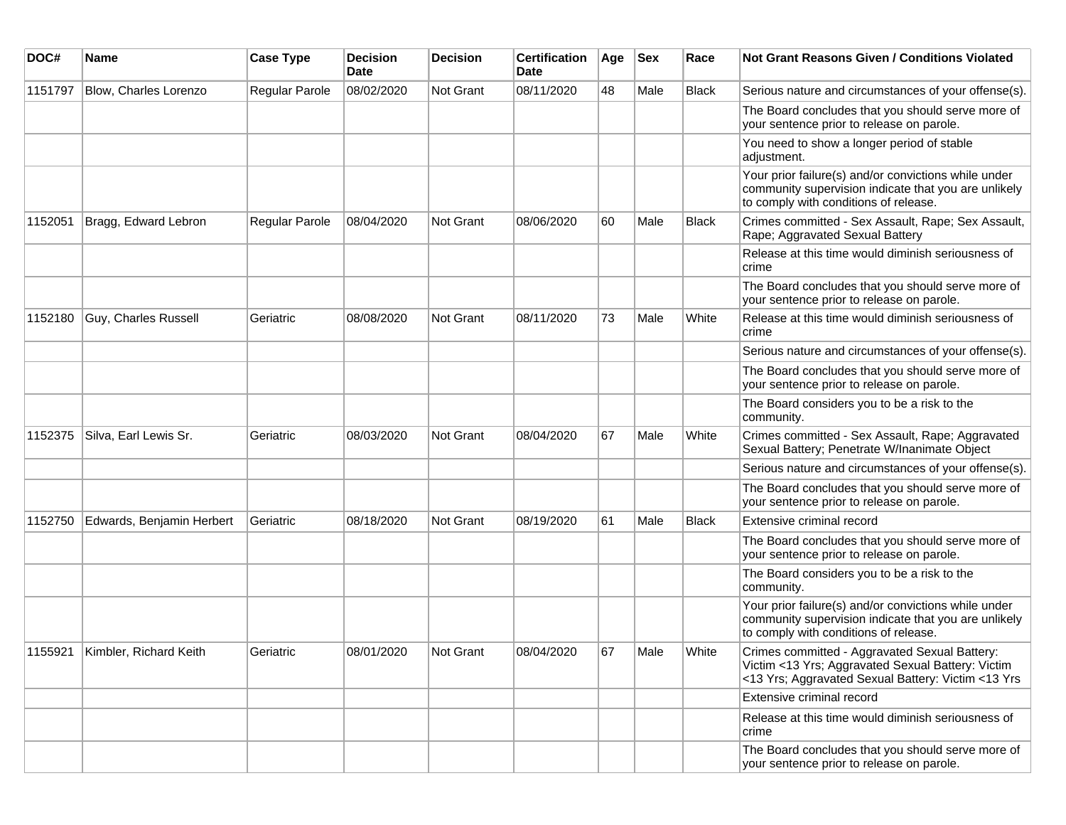| DOC#    | <b>Name</b>                    | <b>Case Type</b>      | <b>Decision</b><br>Date | <b>Decision</b> | <b>Certification</b><br>Date | Age | <b>Sex</b> | Race         | <b>Not Grant Reasons Given / Conditions Violated</b>                                                                                                     |
|---------|--------------------------------|-----------------------|-------------------------|-----------------|------------------------------|-----|------------|--------------|----------------------------------------------------------------------------------------------------------------------------------------------------------|
| 1151797 | <b>Blow, Charles Lorenzo</b>   | <b>Regular Parole</b> | 08/02/2020              | Not Grant       | 08/11/2020                   | 48  | Male       | <b>Black</b> | Serious nature and circumstances of your offense(s).                                                                                                     |
|         |                                |                       |                         |                 |                              |     |            |              | The Board concludes that you should serve more of<br>your sentence prior to release on parole.                                                           |
|         |                                |                       |                         |                 |                              |     |            |              | You need to show a longer period of stable<br>adjustment.                                                                                                |
|         |                                |                       |                         |                 |                              |     |            |              | Your prior failure(s) and/or convictions while under<br>community supervision indicate that you are unlikely<br>to comply with conditions of release.    |
| 1152051 | Bragg, Edward Lebron           | <b>Regular Parole</b> | 08/04/2020              | Not Grant       | 08/06/2020                   | 60  | Male       | <b>Black</b> | Crimes committed - Sex Assault, Rape; Sex Assault,<br>Rape; Aggravated Sexual Battery                                                                    |
|         |                                |                       |                         |                 |                              |     |            |              | Release at this time would diminish seriousness of<br>crime                                                                                              |
|         |                                |                       |                         |                 |                              |     |            |              | The Board concludes that you should serve more of<br>your sentence prior to release on parole.                                                           |
| 1152180 | Guy, Charles Russell           | Geriatric             | 08/08/2020              | Not Grant       | 08/11/2020                   | 73  | Male       | White        | Release at this time would diminish seriousness of<br>crime                                                                                              |
|         |                                |                       |                         |                 |                              |     |            |              | Serious nature and circumstances of your offense(s).                                                                                                     |
|         |                                |                       |                         |                 |                              |     |            |              | The Board concludes that you should serve more of<br>your sentence prior to release on parole.                                                           |
|         |                                |                       |                         |                 |                              |     |            |              | The Board considers you to be a risk to the<br>community.                                                                                                |
| 1152375 | Silva, Earl Lewis Sr.          | Geriatric             | 08/03/2020              | Not Grant       | 08/04/2020                   | 67  | Male       | White        | Crimes committed - Sex Assault, Rape; Aggravated<br>Sexual Battery; Penetrate W/Inanimate Object                                                         |
|         |                                |                       |                         |                 |                              |     |            |              | Serious nature and circumstances of your offense(s).                                                                                                     |
|         |                                |                       |                         |                 |                              |     |            |              | The Board concludes that you should serve more of<br>your sentence prior to release on parole.                                                           |
| 1152750 | Edwards, Benjamin Herbert      | Geriatric             | 08/18/2020              | Not Grant       | 08/19/2020                   | 61  | Male       | <b>Black</b> | Extensive criminal record                                                                                                                                |
|         |                                |                       |                         |                 |                              |     |            |              | The Board concludes that you should serve more of<br>your sentence prior to release on parole.                                                           |
|         |                                |                       |                         |                 |                              |     |            |              | The Board considers you to be a risk to the<br>community.                                                                                                |
|         |                                |                       |                         |                 |                              |     |            |              | Your prior failure(s) and/or convictions while under<br>community supervision indicate that you are unlikely<br>to comply with conditions of release.    |
|         | 1155921 Kimbler, Richard Keith | Geriatric             | 08/01/2020              | Not Grant       | 08/04/2020                   | 67  | Male       | White        | Crimes committed - Aggravated Sexual Battery:<br>Victim <13 Yrs; Aggravated Sexual Battery: Victim<br><13 Yrs; Aggravated Sexual Battery: Victim <13 Yrs |
|         |                                |                       |                         |                 |                              |     |            |              | Extensive criminal record                                                                                                                                |
|         |                                |                       |                         |                 |                              |     |            |              | Release at this time would diminish seriousness of<br>crime                                                                                              |
|         |                                |                       |                         |                 |                              |     |            |              | The Board concludes that you should serve more of<br>your sentence prior to release on parole.                                                           |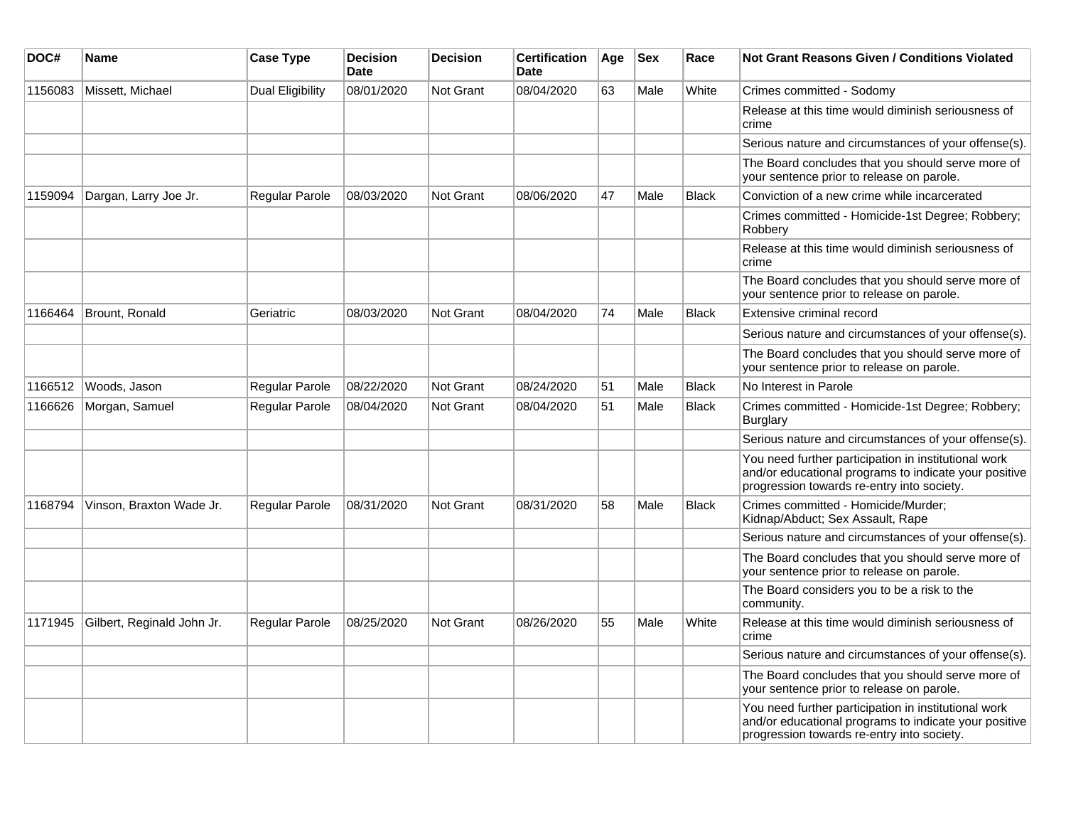| DOC#    | Name                       | <b>Case Type</b>        | <b>Decision</b><br><b>Date</b> | <b>Decision</b>  | <b>Certification</b><br><b>Date</b> | Age | <b>Sex</b> | Race         | <b>Not Grant Reasons Given / Conditions Violated</b>                                                                                                        |
|---------|----------------------------|-------------------------|--------------------------------|------------------|-------------------------------------|-----|------------|--------------|-------------------------------------------------------------------------------------------------------------------------------------------------------------|
| 1156083 | Missett, Michael           | <b>Dual Eligibility</b> | 08/01/2020                     | <b>Not Grant</b> | 08/04/2020                          | 63  | Male       | White        | Crimes committed - Sodomy                                                                                                                                   |
|         |                            |                         |                                |                  |                                     |     |            |              | Release at this time would diminish seriousness of<br>crime                                                                                                 |
|         |                            |                         |                                |                  |                                     |     |            |              | Serious nature and circumstances of your offense(s).                                                                                                        |
|         |                            |                         |                                |                  |                                     |     |            |              | The Board concludes that you should serve more of<br>your sentence prior to release on parole.                                                              |
| 1159094 | Dargan, Larry Joe Jr.      | Regular Parole          | 08/03/2020                     | <b>Not Grant</b> | 08/06/2020                          | 47  | Male       | <b>Black</b> | Conviction of a new crime while incarcerated                                                                                                                |
|         |                            |                         |                                |                  |                                     |     |            |              | Crimes committed - Homicide-1st Degree; Robbery;<br>Robbery                                                                                                 |
|         |                            |                         |                                |                  |                                     |     |            |              | Release at this time would diminish seriousness of<br>crime                                                                                                 |
|         |                            |                         |                                |                  |                                     |     |            |              | The Board concludes that you should serve more of<br>your sentence prior to release on parole.                                                              |
| 1166464 | Brount, Ronald             | Geriatric               | 08/03/2020                     | <b>Not Grant</b> | 08/04/2020                          | 74  | Male       | <b>Black</b> | Extensive criminal record                                                                                                                                   |
|         |                            |                         |                                |                  |                                     |     |            |              | Serious nature and circumstances of your offense(s).                                                                                                        |
|         |                            |                         |                                |                  |                                     |     |            |              | The Board concludes that you should serve more of<br>your sentence prior to release on parole.                                                              |
| 1166512 | Woods, Jason               | Regular Parole          | 08/22/2020                     | <b>Not Grant</b> | 08/24/2020                          | 51  | Male       | <b>Black</b> | No Interest in Parole                                                                                                                                       |
| 1166626 | Morgan, Samuel             | Regular Parole          | 08/04/2020                     | <b>Not Grant</b> | 08/04/2020                          | 51  | Male       | Black        | Crimes committed - Homicide-1st Degree; Robbery;<br>Burglary                                                                                                |
|         |                            |                         |                                |                  |                                     |     |            |              | Serious nature and circumstances of your offense(s).                                                                                                        |
|         |                            |                         |                                |                  |                                     |     |            |              | You need further participation in institutional work<br>and/or educational programs to indicate your positive<br>progression towards re-entry into society. |
| 1168794 | Vinson, Braxton Wade Jr.   | Regular Parole          | 08/31/2020                     | <b>Not Grant</b> | 08/31/2020                          | 58  | Male       | <b>Black</b> | Crimes committed - Homicide/Murder;<br>Kidnap/Abduct; Sex Assault, Rape                                                                                     |
|         |                            |                         |                                |                  |                                     |     |            |              | Serious nature and circumstances of your offense(s).                                                                                                        |
|         |                            |                         |                                |                  |                                     |     |            |              | The Board concludes that you should serve more of<br>your sentence prior to release on parole.                                                              |
|         |                            |                         |                                |                  |                                     |     |            |              | The Board considers you to be a risk to the<br>community.                                                                                                   |
| 1171945 | Gilbert, Reginald John Jr. | <b>Regular Parole</b>   | 08/25/2020                     | <b>Not Grant</b> | 08/26/2020                          | 55  | Male       | White        | Release at this time would diminish seriousness of<br>crime                                                                                                 |
|         |                            |                         |                                |                  |                                     |     |            |              | Serious nature and circumstances of your offense(s).                                                                                                        |
|         |                            |                         |                                |                  |                                     |     |            |              | The Board concludes that you should serve more of<br>your sentence prior to release on parole.                                                              |
|         |                            |                         |                                |                  |                                     |     |            |              | You need further participation in institutional work<br>and/or educational programs to indicate your positive<br>progression towards re-entry into society. |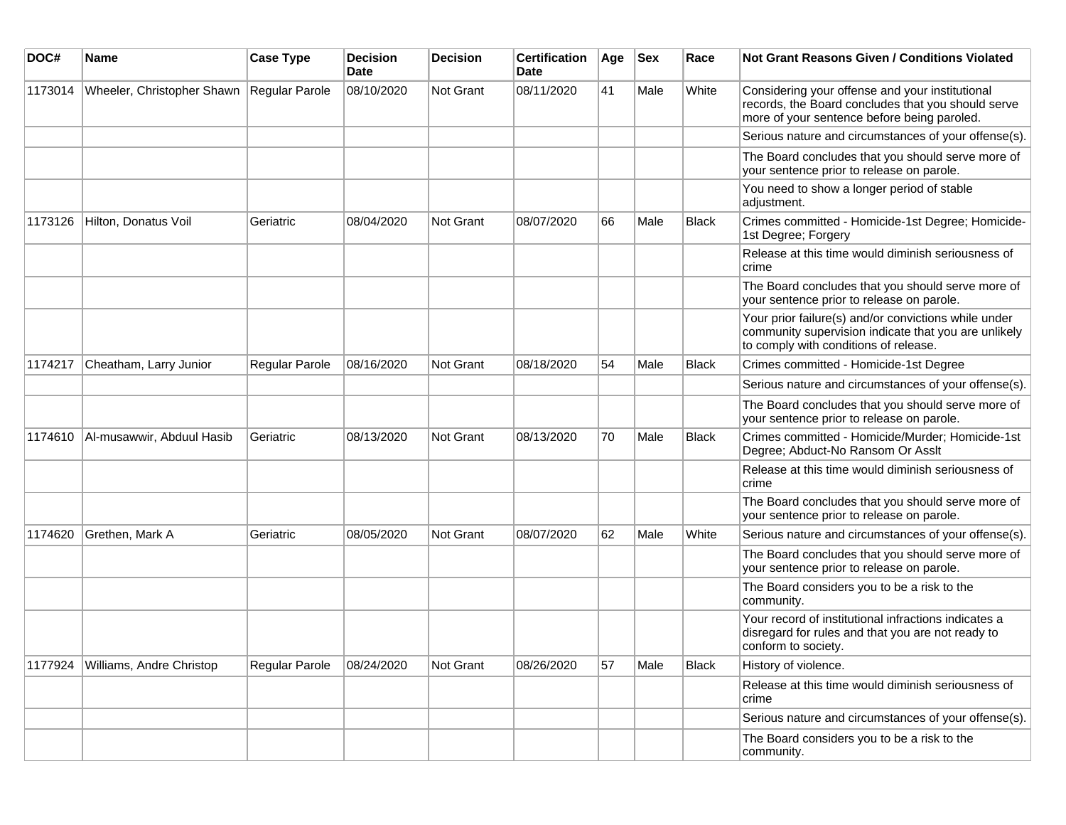| DOC#    | <b>Name</b>                | <b>Case Type</b> | <b>Decision</b><br>Date | <b>Decision</b> | <b>Certification</b><br>Date | Age | <b>Sex</b> | Race         | Not Grant Reasons Given / Conditions Violated                                                                                                         |
|---------|----------------------------|------------------|-------------------------|-----------------|------------------------------|-----|------------|--------------|-------------------------------------------------------------------------------------------------------------------------------------------------------|
| 1173014 | Wheeler, Christopher Shawn | Regular Parole   | 08/10/2020              | Not Grant       | 08/11/2020                   | 41  | Male       | White        | Considering your offense and your institutional<br>records, the Board concludes that you should serve<br>more of your sentence before being paroled.  |
|         |                            |                  |                         |                 |                              |     |            |              | Serious nature and circumstances of your offense(s).                                                                                                  |
|         |                            |                  |                         |                 |                              |     |            |              | The Board concludes that you should serve more of<br>your sentence prior to release on parole.                                                        |
|         |                            |                  |                         |                 |                              |     |            |              | You need to show a longer period of stable<br>adjustment.                                                                                             |
| 1173126 | Hilton, Donatus Voil       | Geriatric        | 08/04/2020              | Not Grant       | 08/07/2020                   | 66  | Male       | <b>Black</b> | Crimes committed - Homicide-1st Degree; Homicide-<br>1st Degree; Forgery                                                                              |
|         |                            |                  |                         |                 |                              |     |            |              | Release at this time would diminish seriousness of<br>crime                                                                                           |
|         |                            |                  |                         |                 |                              |     |            |              | The Board concludes that you should serve more of<br>your sentence prior to release on parole.                                                        |
|         |                            |                  |                         |                 |                              |     |            |              | Your prior failure(s) and/or convictions while under<br>community supervision indicate that you are unlikely<br>to comply with conditions of release. |
| 1174217 | Cheatham, Larry Junior     | Regular Parole   | 08/16/2020              | Not Grant       | 08/18/2020                   | 54  | Male       | <b>Black</b> | Crimes committed - Homicide-1st Degree                                                                                                                |
|         |                            |                  |                         |                 |                              |     |            |              | Serious nature and circumstances of your offense(s).                                                                                                  |
|         |                            |                  |                         |                 |                              |     |            |              | The Board concludes that you should serve more of<br>your sentence prior to release on parole.                                                        |
| 1174610 | Al-musawwir, Abduul Hasib  | Geriatric        | 08/13/2020              | Not Grant       | 08/13/2020                   | 70  | Male       | <b>Black</b> | Crimes committed - Homicide/Murder; Homicide-1st<br>Degree; Abduct-No Ransom Or Asslt                                                                 |
|         |                            |                  |                         |                 |                              |     |            |              | Release at this time would diminish seriousness of<br>crime                                                                                           |
|         |                            |                  |                         |                 |                              |     |            |              | The Board concludes that you should serve more of<br>your sentence prior to release on parole.                                                        |
| 1174620 | Grethen, Mark A            | Geriatric        | 08/05/2020              | Not Grant       | 08/07/2020                   | 62  | Male       | White        | Serious nature and circumstances of your offense(s).                                                                                                  |
|         |                            |                  |                         |                 |                              |     |            |              | The Board concludes that you should serve more of<br>your sentence prior to release on parole.                                                        |
|         |                            |                  |                         |                 |                              |     |            |              | The Board considers you to be a risk to the<br>community.                                                                                             |
|         |                            |                  |                         |                 |                              |     |            |              | Your record of institutional infractions indicates a<br>disregard for rules and that you are not ready to<br>conform to society.                      |
| 1177924 | Williams, Andre Christop   | Regular Parole   | 08/24/2020              | Not Grant       | 08/26/2020                   | 57  | Male       | <b>Black</b> | History of violence.                                                                                                                                  |
|         |                            |                  |                         |                 |                              |     |            |              | Release at this time would diminish seriousness of<br>crime                                                                                           |
|         |                            |                  |                         |                 |                              |     |            |              | Serious nature and circumstances of your offense(s).                                                                                                  |
|         |                            |                  |                         |                 |                              |     |            |              | The Board considers you to be a risk to the<br>community.                                                                                             |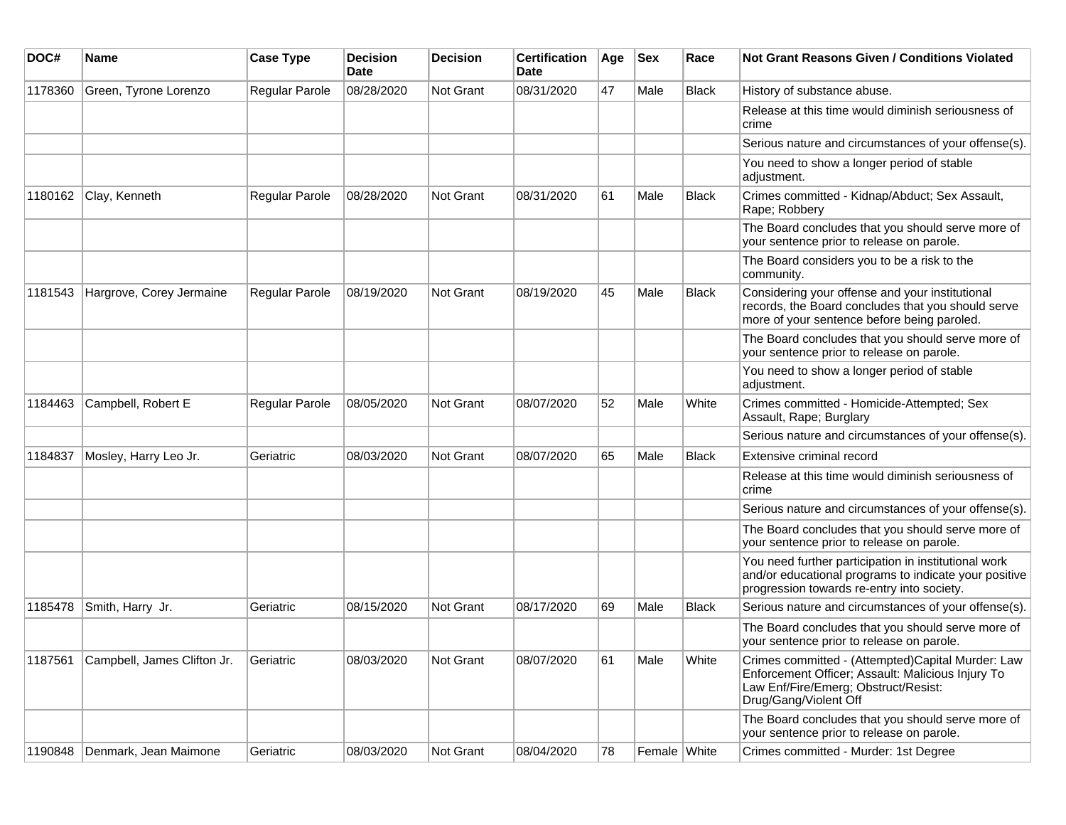| DOC#    | <b>Name</b>                         | <b>Case Type</b> | <b>Decision</b><br><b>Date</b> | <b>Decision</b> | <b>Certification</b><br>Date | Age | <b>Sex</b>   | Race         | <b>Not Grant Reasons Given / Conditions Violated</b>                                                                                                                    |
|---------|-------------------------------------|------------------|--------------------------------|-----------------|------------------------------|-----|--------------|--------------|-------------------------------------------------------------------------------------------------------------------------------------------------------------------------|
| 1178360 | Green, Tyrone Lorenzo               | Regular Parole   | 08/28/2020                     | Not Grant       | 08/31/2020                   | 47  | Male         | <b>Black</b> | History of substance abuse.                                                                                                                                             |
|         |                                     |                  |                                |                 |                              |     |              |              | Release at this time would diminish seriousness of<br>crime                                                                                                             |
|         |                                     |                  |                                |                 |                              |     |              |              | Serious nature and circumstances of your offense(s).                                                                                                                    |
|         |                                     |                  |                                |                 |                              |     |              |              | You need to show a longer period of stable<br>adjustment.                                                                                                               |
| 1180162 | Clay, Kenneth                       | Regular Parole   | 08/28/2020                     | Not Grant       | 08/31/2020                   | 61  | Male         | <b>Black</b> | Crimes committed - Kidnap/Abduct; Sex Assault,<br>Rape; Robbery                                                                                                         |
|         |                                     |                  |                                |                 |                              |     |              |              | The Board concludes that you should serve more of<br>your sentence prior to release on parole.                                                                          |
|         |                                     |                  |                                |                 |                              |     |              |              | The Board considers you to be a risk to the<br>community.                                                                                                               |
| 1181543 | Hargrove, Corey Jermaine            | Regular Parole   | 08/19/2020                     | Not Grant       | 08/19/2020                   | 45  | Male         | <b>Black</b> | Considering your offense and your institutional<br>records, the Board concludes that you should serve<br>more of your sentence before being paroled.                    |
|         |                                     |                  |                                |                 |                              |     |              |              | The Board concludes that you should serve more of<br>your sentence prior to release on parole.                                                                          |
|         |                                     |                  |                                |                 |                              |     |              |              | You need to show a longer period of stable<br>adjustment.                                                                                                               |
| 1184463 | Campbell, Robert E                  | Regular Parole   | 08/05/2020                     | Not Grant       | 08/07/2020                   | 52  | Male         | White        | Crimes committed - Homicide-Attempted; Sex<br>Assault, Rape; Burglary                                                                                                   |
|         |                                     |                  |                                |                 |                              |     |              |              | Serious nature and circumstances of your offense(s).                                                                                                                    |
| 1184837 | Mosley, Harry Leo Jr.               | Geriatric        | 08/03/2020                     | Not Grant       | 08/07/2020                   | 65  | Male         | <b>Black</b> | Extensive criminal record                                                                                                                                               |
|         |                                     |                  |                                |                 |                              |     |              |              | Release at this time would diminish seriousness of<br>crime                                                                                                             |
|         |                                     |                  |                                |                 |                              |     |              |              | Serious nature and circumstances of your offense(s).                                                                                                                    |
|         |                                     |                  |                                |                 |                              |     |              |              | The Board concludes that you should serve more of<br>your sentence prior to release on parole.                                                                          |
|         |                                     |                  |                                |                 |                              |     |              |              | You need further participation in institutional work<br>and/or educational programs to indicate your positive<br>progression towards re-entry into society.             |
| 1185478 | Smith, Harry Jr.                    | Geriatric        | 08/15/2020                     | Not Grant       | 08/17/2020                   | 69  | Male         | <b>Black</b> | Serious nature and circumstances of your offense(s).                                                                                                                    |
|         |                                     |                  |                                |                 |                              |     |              |              | The Board concludes that you should serve more of<br>your sentence prior to release on parole.                                                                          |
|         | 1187561 Campbell, James Clifton Jr. | Geriatric        | 08/03/2020                     | Not Grant       | 08/07/2020                   | 61  | Male         | White        | Crimes committed - (Attempted)Capital Murder: Law<br>Enforcement Officer; Assault: Malicious Injury To<br>Law Enf/Fire/Emerg; Obstruct/Resist:<br>Drug/Gang/Violent Off |
|         |                                     |                  |                                |                 |                              |     |              |              | The Board concludes that you should serve more of<br>your sentence prior to release on parole.                                                                          |
| 1190848 | Denmark, Jean Maimone               | Geriatric        | 08/03/2020                     | Not Grant       | 08/04/2020                   | 78  | Female White |              | Crimes committed - Murder: 1st Degree                                                                                                                                   |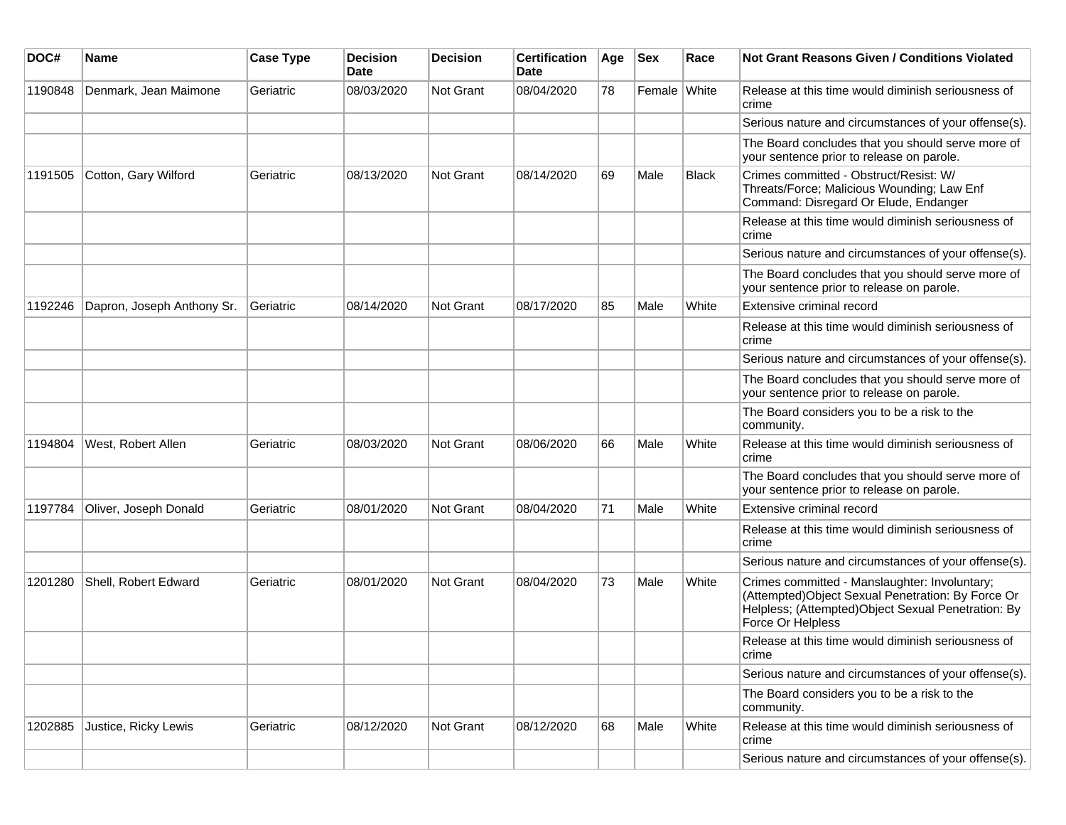| DOC#    | <b>Name</b>                | <b>Case Type</b> | <b>Decision</b><br><b>Date</b> | <b>Decision</b>  | <b>Certification</b><br><b>Date</b> | Age | <b>Sex</b>   | Race         | <b>Not Grant Reasons Given / Conditions Violated</b>                                                                                                                           |
|---------|----------------------------|------------------|--------------------------------|------------------|-------------------------------------|-----|--------------|--------------|--------------------------------------------------------------------------------------------------------------------------------------------------------------------------------|
| 1190848 | Denmark, Jean Maimone      | Geriatric        | 08/03/2020                     | Not Grant        | 08/04/2020                          | 78  | Female White |              | Release at this time would diminish seriousness of<br>crime                                                                                                                    |
|         |                            |                  |                                |                  |                                     |     |              |              | Serious nature and circumstances of your offense(s).                                                                                                                           |
|         |                            |                  |                                |                  |                                     |     |              |              | The Board concludes that you should serve more of<br>your sentence prior to release on parole.                                                                                 |
| 1191505 | Cotton, Gary Wilford       | Geriatric        | 08/13/2020                     | <b>Not Grant</b> | 08/14/2020                          | 69  | Male         | <b>Black</b> | Crimes committed - Obstruct/Resist: W/<br>Threats/Force; Malicious Wounding; Law Enf<br>Command: Disregard Or Elude, Endanger                                                  |
|         |                            |                  |                                |                  |                                     |     |              |              | Release at this time would diminish seriousness of<br>crime                                                                                                                    |
|         |                            |                  |                                |                  |                                     |     |              |              | Serious nature and circumstances of your offense(s).                                                                                                                           |
|         |                            |                  |                                |                  |                                     |     |              |              | The Board concludes that you should serve more of<br>your sentence prior to release on parole.                                                                                 |
| 1192246 | Dapron, Joseph Anthony Sr. | Geriatric        | 08/14/2020                     | <b>Not Grant</b> | 08/17/2020                          | 85  | Male         | White        | Extensive criminal record                                                                                                                                                      |
|         |                            |                  |                                |                  |                                     |     |              |              | Release at this time would diminish seriousness of<br>crime                                                                                                                    |
|         |                            |                  |                                |                  |                                     |     |              |              | Serious nature and circumstances of your offense(s).                                                                                                                           |
|         |                            |                  |                                |                  |                                     |     |              |              | The Board concludes that you should serve more of<br>your sentence prior to release on parole.                                                                                 |
|         |                            |                  |                                |                  |                                     |     |              |              | The Board considers you to be a risk to the<br>community.                                                                                                                      |
| 1194804 | West, Robert Allen         | Geriatric        | 08/03/2020                     | Not Grant        | 08/06/2020                          | 66  | Male         | White        | Release at this time would diminish seriousness of<br>crime                                                                                                                    |
|         |                            |                  |                                |                  |                                     |     |              |              | The Board concludes that you should serve more of<br>your sentence prior to release on parole.                                                                                 |
| 1197784 | Oliver, Joseph Donald      | Geriatric        | 08/01/2020                     | Not Grant        | 08/04/2020                          | 71  | Male         | White        | Extensive criminal record                                                                                                                                                      |
|         |                            |                  |                                |                  |                                     |     |              |              | Release at this time would diminish seriousness of<br>crime                                                                                                                    |
|         |                            |                  |                                |                  |                                     |     |              |              | Serious nature and circumstances of your offense(s).                                                                                                                           |
| 1201280 | Shell, Robert Edward       | Geriatric        | 08/01/2020                     | <b>Not Grant</b> | 08/04/2020                          | 73  | Male         | White        | Crimes committed - Manslaughter: Involuntary;<br>(Attempted) Object Sexual Penetration: By Force Or<br>Helpless; (Attempted)Object Sexual Penetration: By<br>Force Or Helpless |
|         |                            |                  |                                |                  |                                     |     |              |              | Release at this time would diminish seriousness of<br>crime                                                                                                                    |
|         |                            |                  |                                |                  |                                     |     |              |              | Serious nature and circumstances of your offense(s).                                                                                                                           |
|         |                            |                  |                                |                  |                                     |     |              |              | The Board considers you to be a risk to the<br>community.                                                                                                                      |
| 1202885 | Justice, Ricky Lewis       | Geriatric        | 08/12/2020                     | Not Grant        | 08/12/2020                          | 68  | Male         | White        | Release at this time would diminish seriousness of<br>crime                                                                                                                    |
|         |                            |                  |                                |                  |                                     |     |              |              | Serious nature and circumstances of your offense(s).                                                                                                                           |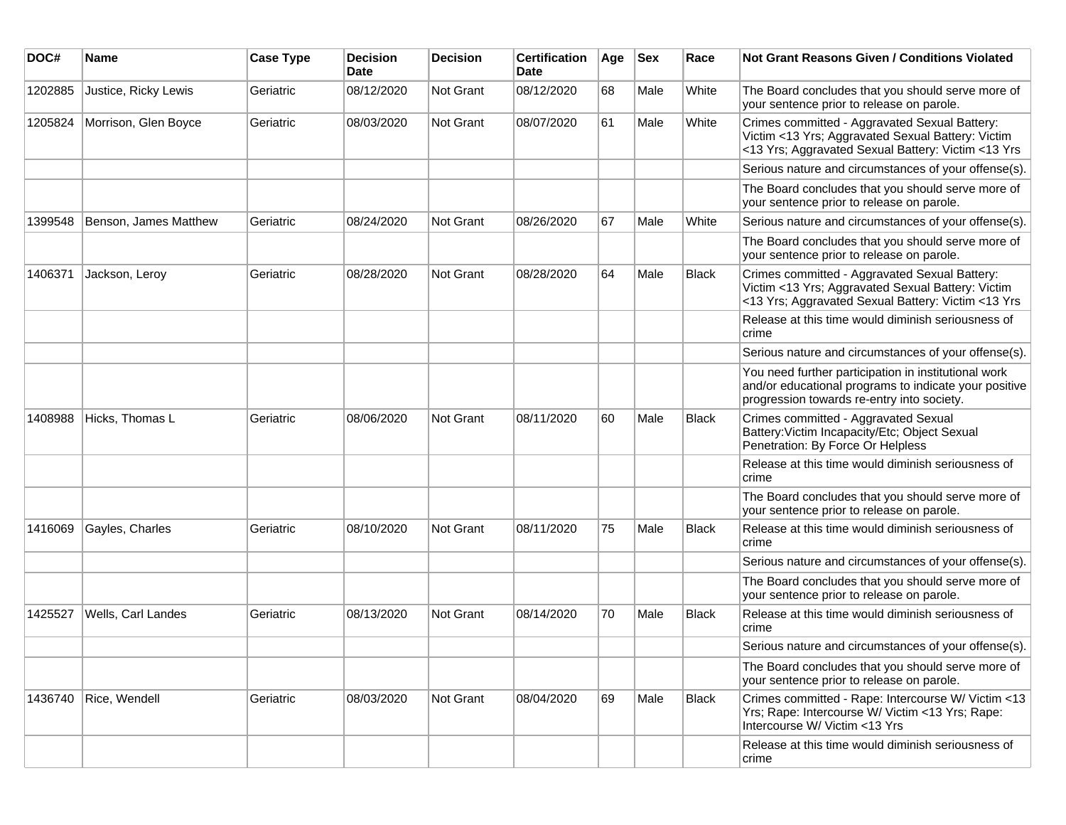| DOC#    | <b>Name</b>           | <b>Case Type</b> | <b>Decision</b><br><b>Date</b> | <b>Decision</b>  | <b>Certification</b><br>Date | Age | <b>Sex</b> | Race         | <b>Not Grant Reasons Given / Conditions Violated</b>                                                                                                        |
|---------|-----------------------|------------------|--------------------------------|------------------|------------------------------|-----|------------|--------------|-------------------------------------------------------------------------------------------------------------------------------------------------------------|
| 1202885 | Justice, Ricky Lewis  | Geriatric        | 08/12/2020                     | Not Grant        | 08/12/2020                   | 68  | Male       | White        | The Board concludes that you should serve more of<br>your sentence prior to release on parole.                                                              |
| 1205824 | Morrison, Glen Boyce  | Geriatric        | 08/03/2020                     | Not Grant        | 08/07/2020                   | 61  | Male       | White        | Crimes committed - Aggravated Sexual Battery:<br>Victim <13 Yrs; Aggravated Sexual Battery: Victim<br><13 Yrs; Aggravated Sexual Battery: Victim <13 Yrs    |
|         |                       |                  |                                |                  |                              |     |            |              | Serious nature and circumstances of your offense(s).                                                                                                        |
|         |                       |                  |                                |                  |                              |     |            |              | The Board concludes that you should serve more of<br>your sentence prior to release on parole.                                                              |
| 1399548 | Benson, James Matthew | Geriatric        | 08/24/2020                     | <b>Not Grant</b> | 08/26/2020                   | 67  | Male       | White        | Serious nature and circumstances of your offense(s).                                                                                                        |
|         |                       |                  |                                |                  |                              |     |            |              | The Board concludes that you should serve more of<br>your sentence prior to release on parole.                                                              |
| 1406371 | Jackson, Leroy        | Geriatric        | 08/28/2020                     | <b>Not Grant</b> | 08/28/2020                   | 64  | Male       | <b>Black</b> | Crimes committed - Aggravated Sexual Battery:<br>Victim <13 Yrs; Aggravated Sexual Battery: Victim<br><13 Yrs; Aggravated Sexual Battery: Victim <13 Yrs    |
|         |                       |                  |                                |                  |                              |     |            |              | Release at this time would diminish seriousness of<br>crime                                                                                                 |
|         |                       |                  |                                |                  |                              |     |            |              | Serious nature and circumstances of your offense(s).                                                                                                        |
|         |                       |                  |                                |                  |                              |     |            |              | You need further participation in institutional work<br>and/or educational programs to indicate your positive<br>progression towards re-entry into society. |
| 1408988 | Hicks, Thomas L       | Geriatric        | 08/06/2020                     | <b>Not Grant</b> | 08/11/2020                   | 60  | Male       | Black        | Crimes committed - Aggravated Sexual<br>Battery: Victim Incapacity/Etc; Object Sexual<br>Penetration: By Force Or Helpless                                  |
|         |                       |                  |                                |                  |                              |     |            |              | Release at this time would diminish seriousness of<br>crime                                                                                                 |
|         |                       |                  |                                |                  |                              |     |            |              | The Board concludes that you should serve more of<br>your sentence prior to release on parole.                                                              |
| 1416069 | Gayles, Charles       | Geriatric        | 08/10/2020                     | Not Grant        | 08/11/2020                   | 75  | Male       | <b>Black</b> | Release at this time would diminish seriousness of<br>crime                                                                                                 |
|         |                       |                  |                                |                  |                              |     |            |              | Serious nature and circumstances of your offense(s).                                                                                                        |
|         |                       |                  |                                |                  |                              |     |            |              | The Board concludes that you should serve more of<br>your sentence prior to release on parole.                                                              |
| 1425527 | Wells, Carl Landes    | Geriatric        | 08/13/2020                     | Not Grant        | 08/14/2020                   | 70  | Male       | Black        | Release at this time would diminish seriousness of<br>crime                                                                                                 |
|         |                       |                  |                                |                  |                              |     |            |              | Serious nature and circumstances of your offense(s).                                                                                                        |
|         |                       |                  |                                |                  |                              |     |            |              | The Board concludes that you should serve more of<br>your sentence prior to release on parole.                                                              |
| 1436740 | Rice, Wendell         | Geriatric        | 08/03/2020                     | Not Grant        | 08/04/2020                   | 69  | Male       | <b>Black</b> | Crimes committed - Rape: Intercourse W/ Victim <13<br>Yrs; Rape: Intercourse W/ Victim <13 Yrs; Rape:<br>Intercourse W/ Victim <13 Yrs                      |
|         |                       |                  |                                |                  |                              |     |            |              | Release at this time would diminish seriousness of<br>crime                                                                                                 |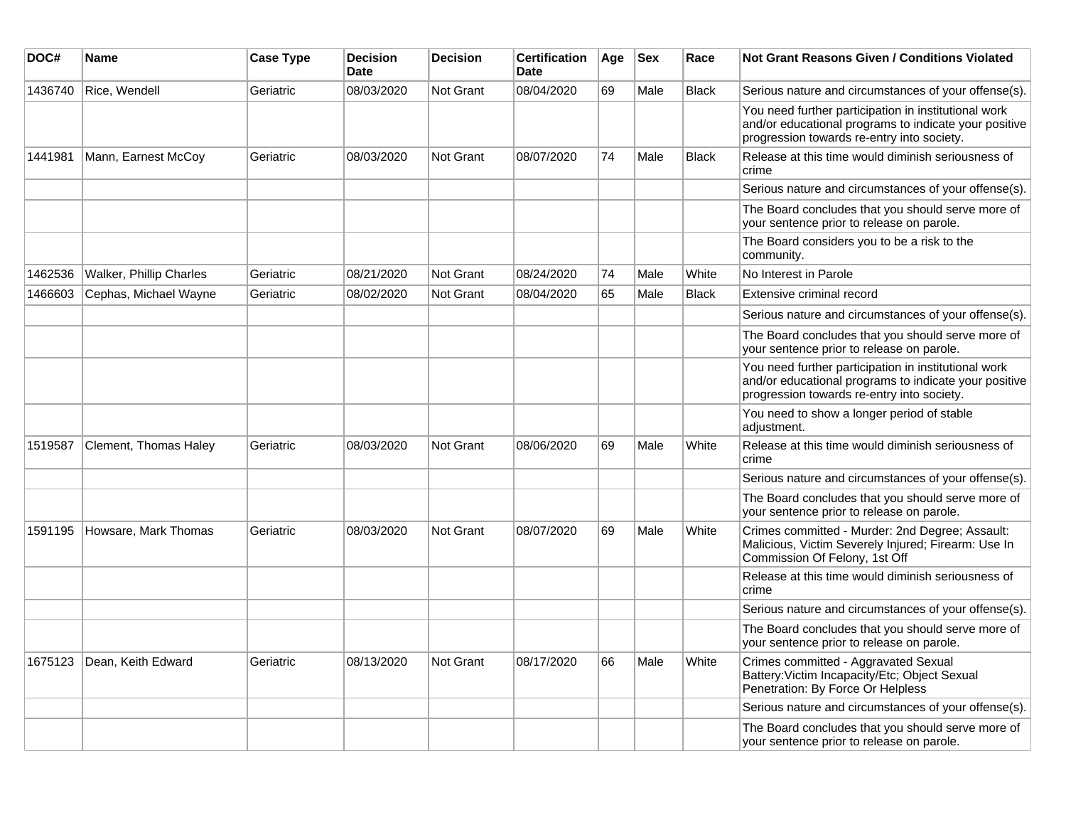| DOC#    | Name                    | <b>Case Type</b> | <b>Decision</b><br><b>Date</b> | <b>Decision</b>  | <b>Certification</b><br><b>Date</b> | Age | <b>Sex</b> | Race         | <b>Not Grant Reasons Given / Conditions Violated</b>                                                                                                        |
|---------|-------------------------|------------------|--------------------------------|------------------|-------------------------------------|-----|------------|--------------|-------------------------------------------------------------------------------------------------------------------------------------------------------------|
| 1436740 | Rice, Wendell           | Geriatric        | 08/03/2020                     | <b>Not Grant</b> | 08/04/2020                          | 69  | Male       | <b>Black</b> | Serious nature and circumstances of your offense(s).                                                                                                        |
|         |                         |                  |                                |                  |                                     |     |            |              | You need further participation in institutional work<br>and/or educational programs to indicate your positive<br>progression towards re-entry into society. |
| 1441981 | Mann, Earnest McCoy     | Geriatric        | 08/03/2020                     | Not Grant        | 08/07/2020                          | 74  | Male       | <b>Black</b> | Release at this time would diminish seriousness of<br>crime                                                                                                 |
|         |                         |                  |                                |                  |                                     |     |            |              | Serious nature and circumstances of your offense(s).                                                                                                        |
|         |                         |                  |                                |                  |                                     |     |            |              | The Board concludes that you should serve more of<br>your sentence prior to release on parole.                                                              |
|         |                         |                  |                                |                  |                                     |     |            |              | The Board considers you to be a risk to the<br>community.                                                                                                   |
| 1462536 | Walker, Phillip Charles | Geriatric        | 08/21/2020                     | Not Grant        | 08/24/2020                          | 74  | Male       | White        | No Interest in Parole                                                                                                                                       |
| 1466603 | Cephas, Michael Wayne   | Geriatric        | 08/02/2020                     | Not Grant        | 08/04/2020                          | 65  | Male       | <b>Black</b> | Extensive criminal record                                                                                                                                   |
|         |                         |                  |                                |                  |                                     |     |            |              | Serious nature and circumstances of your offense(s).                                                                                                        |
|         |                         |                  |                                |                  |                                     |     |            |              | The Board concludes that you should serve more of<br>your sentence prior to release on parole.                                                              |
|         |                         |                  |                                |                  |                                     |     |            |              | You need further participation in institutional work<br>and/or educational programs to indicate your positive<br>progression towards re-entry into society. |
|         |                         |                  |                                |                  |                                     |     |            |              | You need to show a longer period of stable<br>adjustment.                                                                                                   |
| 1519587 | Clement, Thomas Haley   | Geriatric        | 08/03/2020                     | Not Grant        | 08/06/2020                          | 69  | Male       | White        | Release at this time would diminish seriousness of<br>crime                                                                                                 |
|         |                         |                  |                                |                  |                                     |     |            |              | Serious nature and circumstances of your offense(s).                                                                                                        |
|         |                         |                  |                                |                  |                                     |     |            |              | The Board concludes that you should serve more of<br>your sentence prior to release on parole.                                                              |
| 1591195 | Howsare, Mark Thomas    | Geriatric        | 08/03/2020                     | Not Grant        | 08/07/2020                          | 69  | Male       | White        | Crimes committed - Murder: 2nd Degree; Assault:<br>Malicious, Victim Severely Injured; Firearm: Use In<br>Commission Of Felony, 1st Off                     |
|         |                         |                  |                                |                  |                                     |     |            |              | Release at this time would diminish seriousness of<br>crime                                                                                                 |
|         |                         |                  |                                |                  |                                     |     |            |              | Serious nature and circumstances of your offense(s).                                                                                                        |
|         |                         |                  |                                |                  |                                     |     |            |              | The Board concludes that you should serve more of<br>your sentence prior to release on parole.                                                              |
| 1675123 | Dean, Keith Edward      | Geriatric        | 08/13/2020                     | <b>Not Grant</b> | 08/17/2020                          | 66  | Male       | White        | Crimes committed - Aggravated Sexual<br>Battery: Victim Incapacity/Etc; Object Sexual<br>Penetration: By Force Or Helpless                                  |
|         |                         |                  |                                |                  |                                     |     |            |              | Serious nature and circumstances of your offense(s).                                                                                                        |
|         |                         |                  |                                |                  |                                     |     |            |              | The Board concludes that you should serve more of<br>your sentence prior to release on parole.                                                              |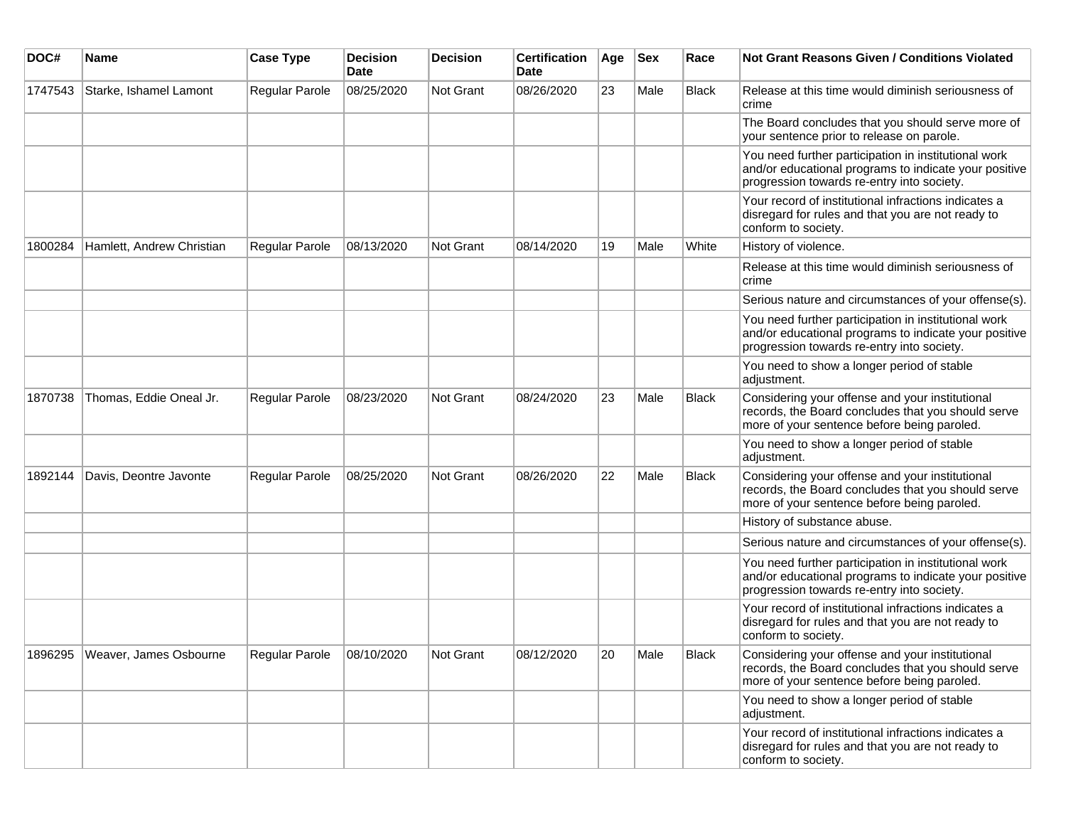| DOC#    | Name                             | <b>Case Type</b> | <b>Decision</b><br>Date | <b>Decision</b> | <b>Certification</b><br>Date | Age | <b>Sex</b> | Race         | <b>Not Grant Reasons Given / Conditions Violated</b>                                                                                                        |
|---------|----------------------------------|------------------|-------------------------|-----------------|------------------------------|-----|------------|--------------|-------------------------------------------------------------------------------------------------------------------------------------------------------------|
| 1747543 | Starke, Ishamel Lamont           | Regular Parole   | 08/25/2020              | Not Grant       | 08/26/2020                   | 23  | Male       | Black        | Release at this time would diminish seriousness of<br>crime                                                                                                 |
|         |                                  |                  |                         |                 |                              |     |            |              | The Board concludes that you should serve more of<br>your sentence prior to release on parole.                                                              |
|         |                                  |                  |                         |                 |                              |     |            |              | You need further participation in institutional work<br>and/or educational programs to indicate your positive<br>progression towards re-entry into society. |
|         |                                  |                  |                         |                 |                              |     |            |              | Your record of institutional infractions indicates a<br>disregard for rules and that you are not ready to<br>conform to society.                            |
| 1800284 | Hamlett, Andrew Christian        | Regular Parole   | 08/13/2020              | Not Grant       | 08/14/2020                   | 19  | Male       | White        | History of violence.                                                                                                                                        |
|         |                                  |                  |                         |                 |                              |     |            |              | Release at this time would diminish seriousness of<br>crime                                                                                                 |
|         |                                  |                  |                         |                 |                              |     |            |              | Serious nature and circumstances of your offense(s).                                                                                                        |
|         |                                  |                  |                         |                 |                              |     |            |              | You need further participation in institutional work<br>and/or educational programs to indicate your positive<br>progression towards re-entry into society. |
|         |                                  |                  |                         |                 |                              |     |            |              | You need to show a longer period of stable<br>adjustment.                                                                                                   |
| 1870738 | Thomas, Eddie Oneal Jr.          | Regular Parole   | 08/23/2020              | Not Grant       | 08/24/2020                   | 23  | Male       | <b>Black</b> | Considering your offense and your institutional<br>records, the Board concludes that you should serve<br>more of your sentence before being paroled.        |
|         |                                  |                  |                         |                 |                              |     |            |              | You need to show a longer period of stable<br>adjustment.                                                                                                   |
| 1892144 | Davis, Deontre Javonte           | Regular Parole   | 08/25/2020              | Not Grant       | 08/26/2020                   | 22  | Male       | Black        | Considering your offense and your institutional<br>records, the Board concludes that you should serve<br>more of your sentence before being paroled.        |
|         |                                  |                  |                         |                 |                              |     |            |              | History of substance abuse.                                                                                                                                 |
|         |                                  |                  |                         |                 |                              |     |            |              | Serious nature and circumstances of your offense(s).                                                                                                        |
|         |                                  |                  |                         |                 |                              |     |            |              | You need further participation in institutional work<br>and/or educational programs to indicate your positive<br>progression towards re-entry into society. |
|         |                                  |                  |                         |                 |                              |     |            |              | Your record of institutional infractions indicates a<br>disregard for rules and that you are not ready to<br>conform to society.                            |
|         | 1896295   Weaver, James Osbourne | Regular Parole   | 08/10/2020              | Not Grant       | 08/12/2020                   | 20  | Male       | Black        | Considering your offense and your institutional<br>records, the Board concludes that you should serve<br>more of your sentence before being paroled.        |
|         |                                  |                  |                         |                 |                              |     |            |              | You need to show a longer period of stable<br>adjustment.                                                                                                   |
|         |                                  |                  |                         |                 |                              |     |            |              | Your record of institutional infractions indicates a<br>disregard for rules and that you are not ready to<br>conform to society.                            |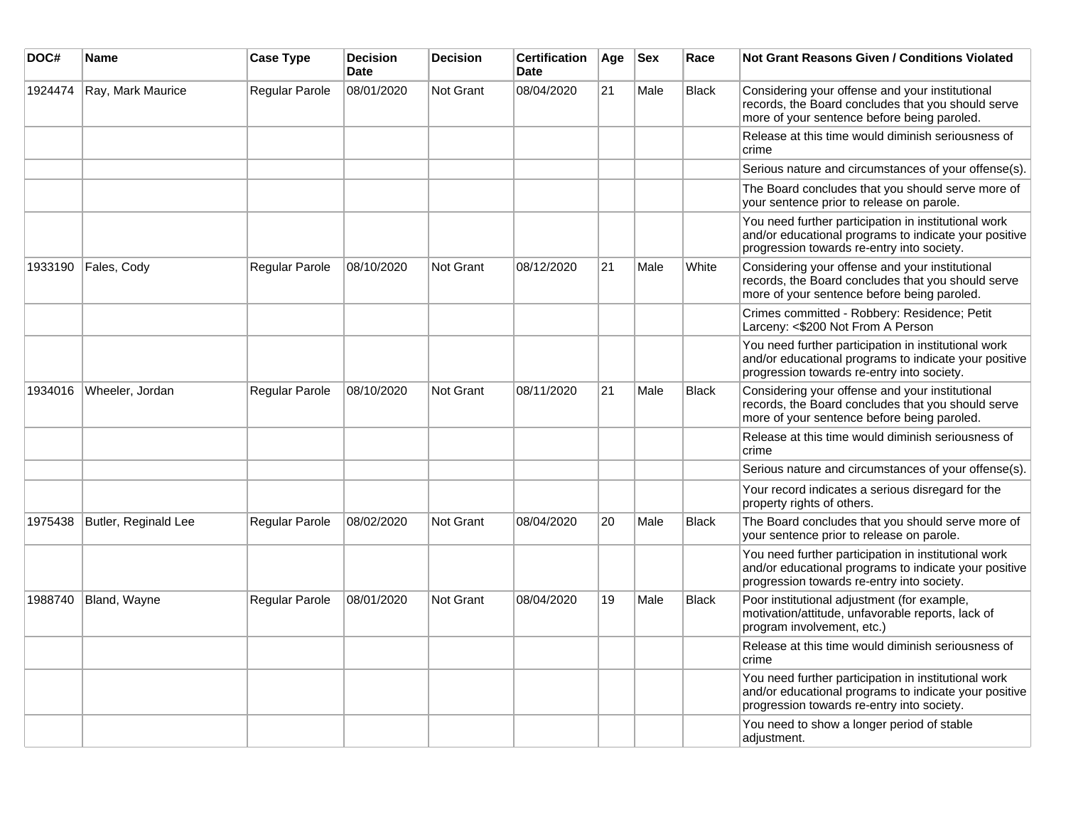| DOC#    | Name                 | <b>Case Type</b> | <b>Decision</b><br><b>Date</b> | <b>Decision</b>  | <b>Certification</b><br><b>Date</b> | Age | <b>Sex</b> | Race         | Not Grant Reasons Given / Conditions Violated                                                                                                               |
|---------|----------------------|------------------|--------------------------------|------------------|-------------------------------------|-----|------------|--------------|-------------------------------------------------------------------------------------------------------------------------------------------------------------|
| 1924474 | Ray, Mark Maurice    | Regular Parole   | 08/01/2020                     | <b>Not Grant</b> | 08/04/2020                          | 21  | Male       | <b>Black</b> | Considering your offense and your institutional<br>records, the Board concludes that you should serve<br>more of your sentence before being paroled.        |
|         |                      |                  |                                |                  |                                     |     |            |              | Release at this time would diminish seriousness of<br>crime                                                                                                 |
|         |                      |                  |                                |                  |                                     |     |            |              | Serious nature and circumstances of your offense(s).                                                                                                        |
|         |                      |                  |                                |                  |                                     |     |            |              | The Board concludes that you should serve more of<br>your sentence prior to release on parole.                                                              |
|         |                      |                  |                                |                  |                                     |     |            |              | You need further participation in institutional work<br>and/or educational programs to indicate your positive<br>progression towards re-entry into society. |
| 1933190 | Fales, Cody          | Regular Parole   | 08/10/2020                     | <b>Not Grant</b> | 08/12/2020                          | 21  | Male       | White        | Considering your offense and your institutional<br>records, the Board concludes that you should serve<br>more of your sentence before being paroled.        |
|         |                      |                  |                                |                  |                                     |     |            |              | Crimes committed - Robbery: Residence; Petit<br>Larceny: <\$200 Not From A Person                                                                           |
|         |                      |                  |                                |                  |                                     |     |            |              | You need further participation in institutional work<br>and/or educational programs to indicate your positive<br>progression towards re-entry into society. |
| 1934016 | Wheeler, Jordan      | Regular Parole   | 08/10/2020                     | <b>Not Grant</b> | 08/11/2020                          | 21  | Male       | <b>Black</b> | Considering your offense and your institutional<br>records, the Board concludes that you should serve<br>more of your sentence before being paroled.        |
|         |                      |                  |                                |                  |                                     |     |            |              | Release at this time would diminish seriousness of<br>crime                                                                                                 |
|         |                      |                  |                                |                  |                                     |     |            |              | Serious nature and circumstances of your offense(s).                                                                                                        |
|         |                      |                  |                                |                  |                                     |     |            |              | Your record indicates a serious disregard for the<br>property rights of others.                                                                             |
| 1975438 | Butler, Reginald Lee | Regular Parole   | 08/02/2020                     | <b>Not Grant</b> | 08/04/2020                          | 20  | Male       | Black        | The Board concludes that you should serve more of<br>your sentence prior to release on parole.                                                              |
|         |                      |                  |                                |                  |                                     |     |            |              | You need further participation in institutional work<br>and/or educational programs to indicate your positive<br>progression towards re-entry into society. |
| 1988740 | Bland, Wayne         | Regular Parole   | 08/01/2020                     | <b>Not Grant</b> | 08/04/2020                          | 19  | Male       | <b>Black</b> | Poor institutional adjustment (for example,<br>motivation/attitude, unfavorable reports, lack of<br>program involvement, etc.)                              |
|         |                      |                  |                                |                  |                                     |     |            |              | Release at this time would diminish seriousness of<br>crime                                                                                                 |
|         |                      |                  |                                |                  |                                     |     |            |              | You need further participation in institutional work<br>and/or educational programs to indicate your positive<br>progression towards re-entry into society. |
|         |                      |                  |                                |                  |                                     |     |            |              | You need to show a longer period of stable<br>adjustment.                                                                                                   |